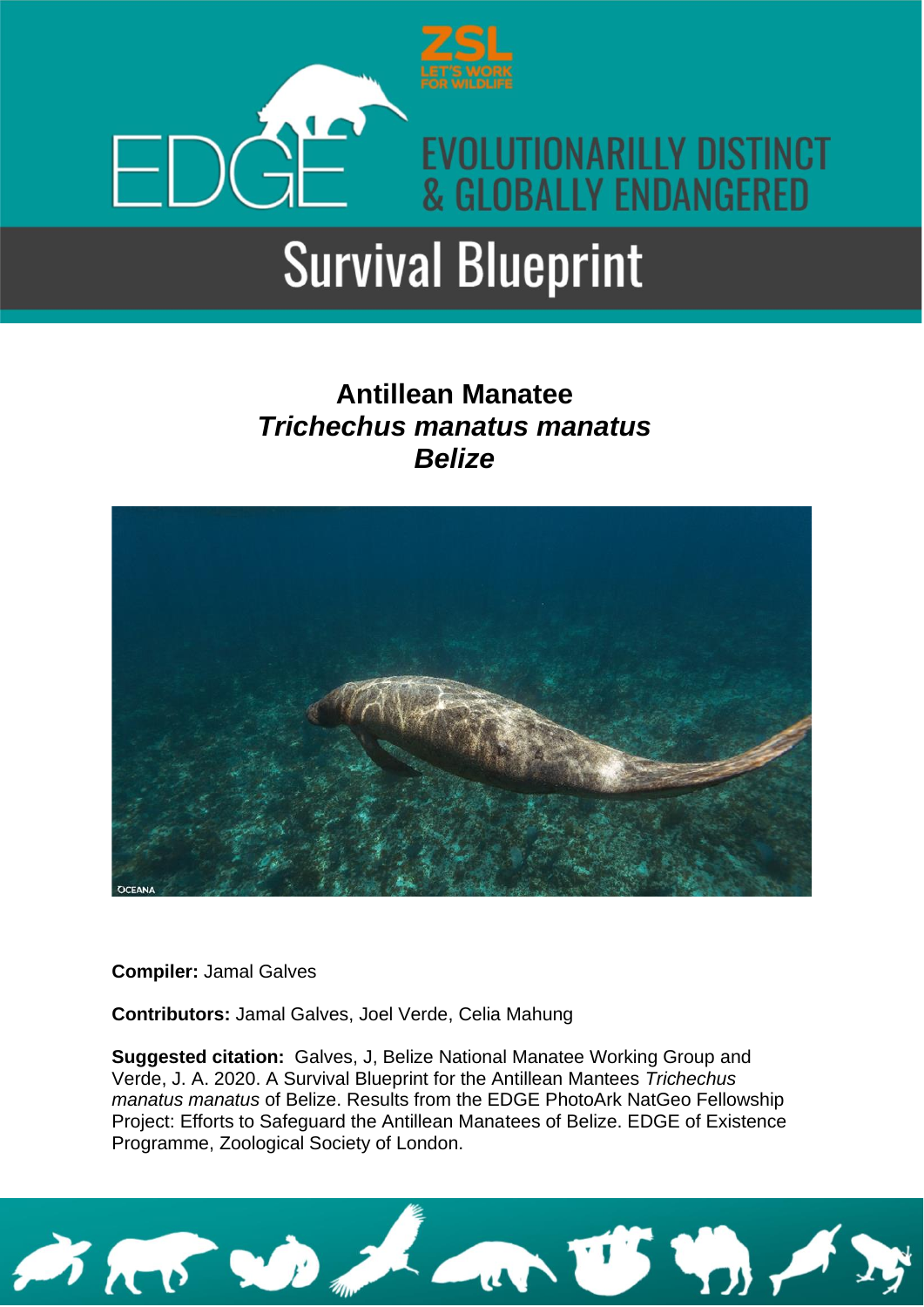

### **Antillean Manatee**  *Trichechus manatus manatus Belize*



**Compiler:** Jamal Galves

**Contributors:** Jamal Galves, Joel Verde, Celia Mahung

**Suggested citation:** Galves, J, Belize National Manatee Working Group and Verde, J. A. 2020. A Survival Blueprint for the Antillean Mantees *Trichechus manatus manatus* of Belize. Results from the EDGE PhotoArk NatGeo Fellowship Project: Efforts to Safeguard the Antillean Manatees of Belize. EDGE of Existence Programme, Zoological Society of London.

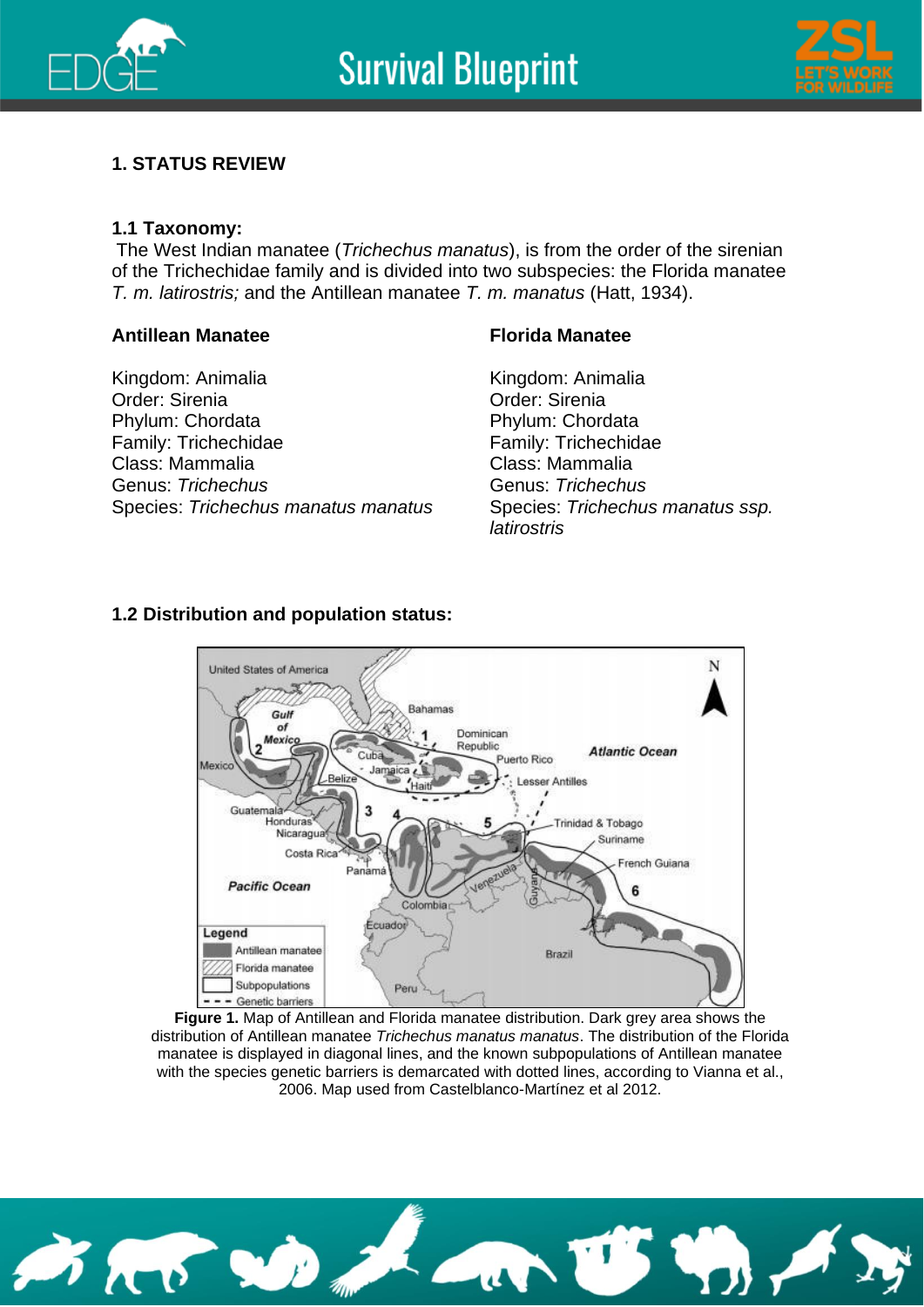



#### **1. STATUS REVIEW**

#### **1.1 Taxonomy:**

The West Indian manatee (*Trichechus manatus*), is from the order of the sirenian of the Trichechidae family and is divided into two subspecies: the Florida manatee *T. m. latirostris;* and the Antillean manatee *T. m. manatus* (Hatt, 1934).

#### **Antillean Manatee**

Kingdom: Animalia Order: Sirenia Phylum: Chordata Family: Trichechidae Class: Mammalia Genus: *Trichechus* Species: *Trichechus manatus manatus*

#### **Florida Manatee**

Kingdom: Animalia Order: Sirenia Phylum: Chordata Family: Trichechidae Class: Mammalia Genus: *Trichechus* Species: *Trichechus manatus ssp. latirostris*

#### **1.2 Distribution and population status:**



**Figure 1.** Map of Antillean and Florida manatee distribution. Dark grey area shows the distribution of Antillean manatee *Trichechus manatus manatus*. The distribution of the Florida manatee is displayed in diagonal lines, and the known subpopulations of Antillean manatee with the species genetic barriers is demarcated with dotted lines, according to Vianna et al., 2006. Map used from Castelblanco-Martínez et al 2012.

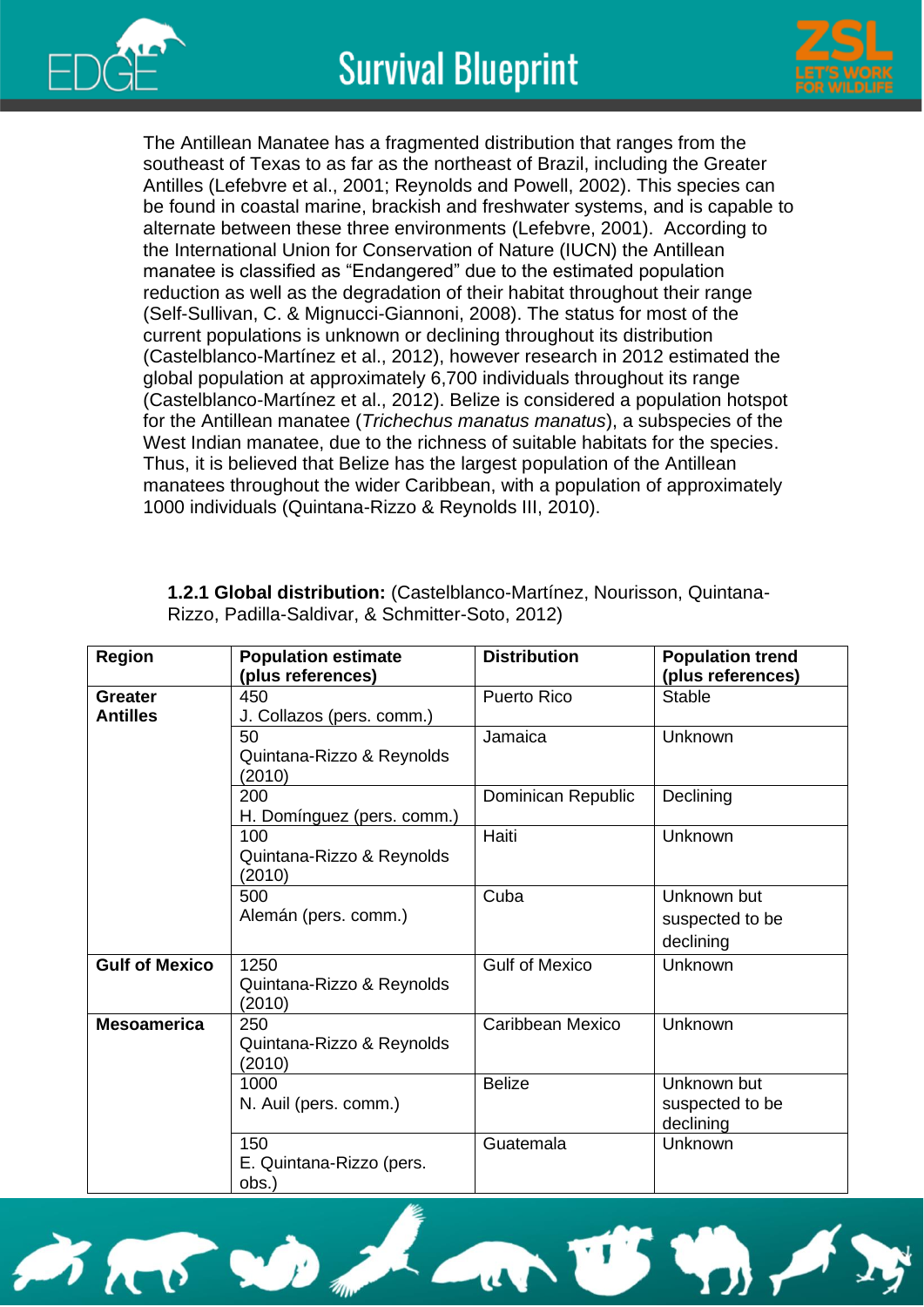

**Mesoamerica** 250



The Antillean Manatee has a fragmented distribution that ranges from the southeast of Texas to as far as the northeast of Brazil, including the Greater Antilles (Lefebvre et al., 2001; Reynolds and Powell, 2002). This species can be found in coastal marine, brackish and freshwater systems, and is capable to alternate between these three environments (Lefebvre, 2001). According to the International Union for Conservation of Nature (IUCN) the Antillean manatee is classified as "Endangered" due to the estimated population reduction as well as the degradation of their habitat throughout their range (Self-Sullivan, C. & Mignucci-Giannoni, 2008). The status for most of the current populations is unknown or declining throughout its distribution (Castelblanco-Martínez et al., 2012), however research in 2012 estimated the global population at approximately 6,700 individuals throughout its range (Castelblanco-Martínez et al., 2012). Belize is considered a population hotspot for the Antillean manatee (*Trichechus manatus manatus*), a subspecies of the West Indian manatee, due to the richness of suitable habitats for the species. Thus, it is believed that Belize has the largest population of the Antillean manatees throughout the wider Caribbean, with a population of approximately 1000 individuals (Quintana-Rizzo & Reynolds III, 2010).

| <b>Region</b>              | <b>Population estimate</b><br>(plus references) | <b>Distribution</b>   | <b>Population trend</b><br>(plus references) |
|----------------------------|-------------------------------------------------|-----------------------|----------------------------------------------|
| Greater<br><b>Antilles</b> | 450<br>J. Collazos (pers. comm.)                | <b>Puerto Rico</b>    | Stable                                       |
|                            | 50<br>Quintana-Rizzo & Reynolds<br>(2010)       | Jamaica               | Unknown                                      |
|                            | 200<br>H. Domínguez (pers. comm.)               | Dominican Republic    | Declining                                    |
|                            | 100<br>Quintana-Rizzo & Reynolds<br>(2010)      | Haiti                 | Unknown                                      |
|                            | 500<br>Alemán (pers. comm.)                     | Cuba                  | Unknown but<br>suspected to be<br>declining  |
| <b>Gulf of Mexico</b>      | 1250<br>Quintana-Rizzo & Reynolds<br>(2010)     | <b>Gulf of Mexico</b> | Unknown                                      |

Caribbean Mexico | Unknown

Guatemala | Unknown

Belize **I** Unknown but

suspected to be

declining

**1.2.1 Global distribution:** (Castelblanco-Martínez, Nourisson, Quintana-Rizzo, Padilla-Saldivar, & Schmitter-Soto, 2012)



Quintana-Rizzo & Reynolds

N. Auil (pers. comm.)

E. Quintana-Rizzo (pers.

(2010)

1000

150

obs.)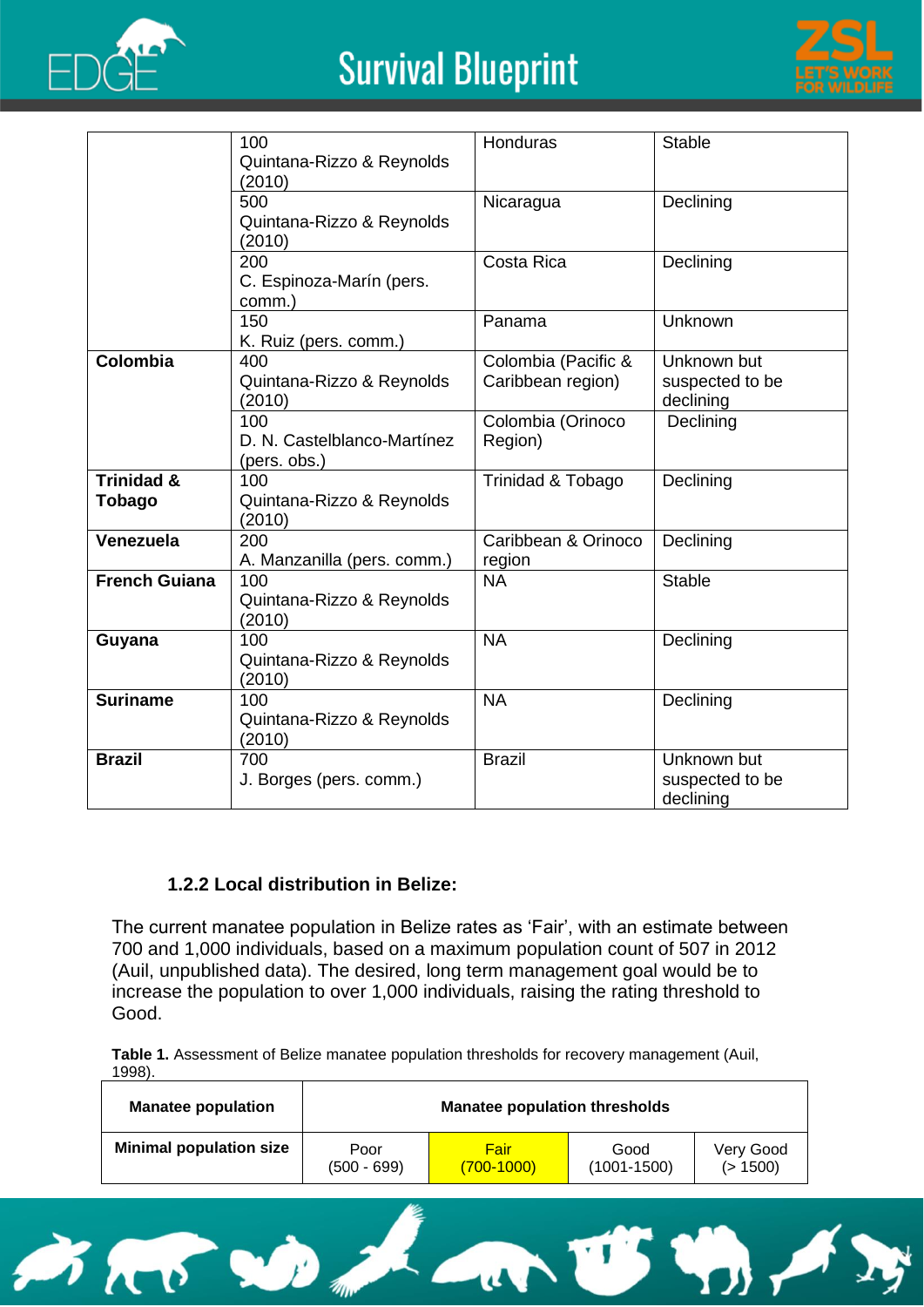



|                       | 100                         | Honduras            | <b>Stable</b>   |
|-----------------------|-----------------------------|---------------------|-----------------|
|                       | Quintana-Rizzo & Reynolds   |                     |                 |
|                       | (2010)                      |                     |                 |
|                       | 500                         |                     | Declining       |
|                       |                             | Nicaragua           |                 |
|                       | Quintana-Rizzo & Reynolds   |                     |                 |
|                       | (2010)                      |                     |                 |
|                       | 200                         | Costa Rica          | Declining       |
|                       | C. Espinoza-Marín (pers.    |                     |                 |
|                       | comm.)                      |                     |                 |
|                       | 150                         | Panama              | Unknown         |
|                       | K. Ruiz (pers. comm.)       |                     |                 |
| Colombia              | 400                         | Colombia (Pacific & | Unknown but     |
|                       | Quintana-Rizzo & Reynolds   | Caribbean region)   | suspected to be |
|                       | (2010)                      |                     | declining       |
|                       | 100                         | Colombia (Orinoco   | Declining       |
|                       | D. N. Castelblanco-Martínez | Region)             |                 |
|                       | (pers. obs.)                |                     |                 |
| <b>Trinidad &amp;</b> | 100                         | Trinidad & Tobago   | Declining       |
| Tobago                | Quintana-Rizzo & Reynolds   |                     |                 |
|                       | (2010)                      |                     |                 |
| Venezuela             | 200                         | Caribbean & Orinoco | Declining       |
|                       |                             |                     |                 |
| <b>French Guiana</b>  | A. Manzanilla (pers. comm.) | region              | <b>Stable</b>   |
|                       | 100                         | <b>NA</b>           |                 |
|                       | Quintana-Rizzo & Reynolds   |                     |                 |
|                       | (2010)                      |                     |                 |
| Guyana                | 100                         | <b>NA</b>           | Declining       |
|                       | Quintana-Rizzo & Reynolds   |                     |                 |
|                       | (2010)                      |                     |                 |
| <b>Suriname</b>       | 100                         | <b>NA</b>           | Declining       |
|                       | Quintana-Rizzo & Reynolds   |                     |                 |
|                       | (2010)                      |                     |                 |
| <b>Brazil</b>         | 700                         | <b>Brazil</b>       | Unknown but     |
|                       | J. Borges (pers. comm.)     |                     | suspected to be |
|                       |                             |                     | declining       |

#### **1.2.2 Local distribution in Belize:**

The current manatee population in Belize rates as 'Fair', with an estimate between 700 and 1,000 individuals, based on a maximum population count of 507 in 2012 (Auil, unpublished data). The desired, long term management goal would be to increase the population to over 1,000 individuals, raising the rating threshold to Good.

**Table 1.** Assessment of Belize manatee population thresholds for recovery management (Auil, 1998).

| <b>Manatee population</b>      | <b>Manatee population thresholds</b> |              |                 |           |
|--------------------------------|--------------------------------------|--------------|-----------------|-----------|
| <b>Minimal population size</b> | Poor                                 | Fair         | Good            | Very Good |
|                                | $(500 - 699)$                        | $(700-1000)$ | $(1001 - 1500)$ | (> 1500)  |

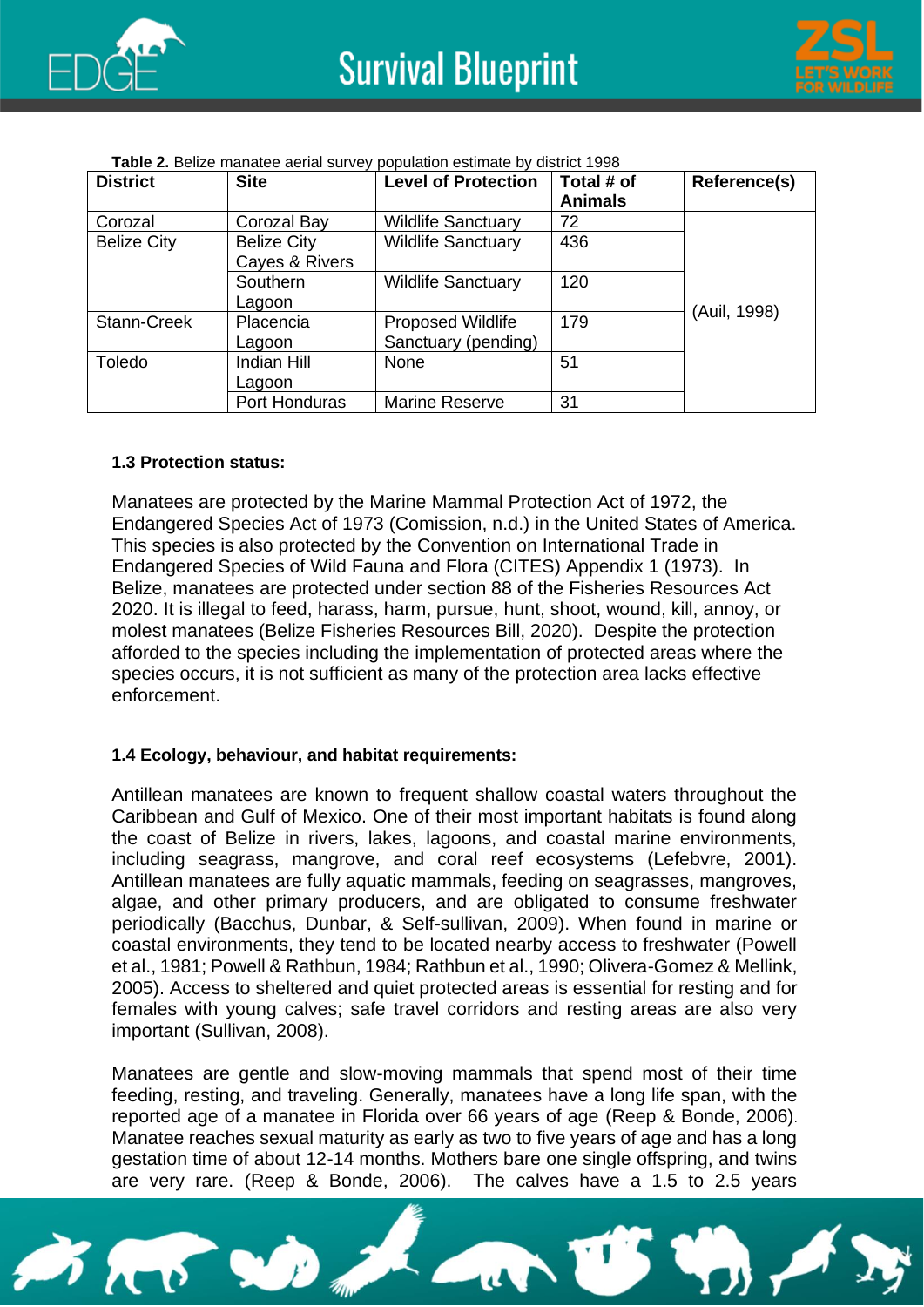



| Table 2. Belize manatee aerial survey population estimate by district 1998 |  |
|----------------------------------------------------------------------------|--|
|                                                                            |  |

| <b>District</b>    | <b>Site</b>                          | <b>Level of Protection</b>                      | Total # of<br><b>Animals</b> | <b>Reference(s)</b> |
|--------------------|--------------------------------------|-------------------------------------------------|------------------------------|---------------------|
| Corozal            | Corozal Bay                          | <b>Wildlife Sanctuary</b>                       | 72                           |                     |
| <b>Belize City</b> | <b>Belize City</b><br>Cayes & Rivers | <b>Wildlife Sanctuary</b>                       | 436                          |                     |
|                    | Southern<br>Lagoon                   | <b>Wildlife Sanctuary</b>                       | 120                          |                     |
| Stann-Creek        | Placencia<br>Lagoon                  | <b>Proposed Wildlife</b><br>Sanctuary (pending) | 179                          | (Auil, 1998)        |
| Toledo             | Indian Hill<br>Lagoon                | None                                            | 51                           |                     |
|                    | Port Honduras                        | Marine Reserve                                  | 31                           |                     |

#### **1.3 Protection status:**

Manatees are protected by the Marine Mammal Protection Act of 1972, the Endangered Species Act of 1973 (Comission, n.d.) in the United States of America. This species is also protected by the Convention on International Trade in Endangered Species of Wild Fauna and Flora (CITES) Appendix 1 (1973). In Belize, manatees are protected under section 88 of the Fisheries Resources Act 2020. It is illegal to feed, harass, harm, pursue, hunt, shoot, wound, kill, annoy, or molest manatees (Belize Fisheries Resources Bill, 2020). Despite the protection afforded to the species including the implementation of protected areas where the species occurs, it is not sufficient as many of the protection area lacks effective enforcement.

#### **1.4 Ecology, behaviour, and habitat requirements:**

Antillean manatees are known to frequent shallow coastal waters throughout the Caribbean and Gulf of Mexico. One of their most important habitats is found along the coast of Belize in rivers, lakes, lagoons, and coastal marine environments, including seagrass, mangrove, and coral reef ecosystems (Lefebvre, 2001). Antillean manatees are fully aquatic mammals, feeding on seagrasses, mangroves, algae, and other primary producers, and are obligated to consume freshwater periodically (Bacchus, Dunbar, & Self-sullivan, 2009). When found in marine or coastal environments, they tend to be located nearby access to freshwater (Powell et al., 1981; Powell & Rathbun, 1984; Rathbun et al., 1990; Olivera-Gomez & Mellink, 2005). Access to sheltered and quiet protected areas is essential for resting and for females with young calves; safe travel corridors and resting areas are also very important (Sullivan, 2008).

Manatees are gentle and slow-moving mammals that spend most of their time feeding, resting, and traveling. Generally, manatees have a long life span, with the reported age of a manatee in Florida over 66 years of age (Reep & Bonde, 2006). Manatee reaches sexual maturity as early as two to five years of age and has a long gestation time of about 12-14 months. Mothers bare one single offspring, and twins are very rare. (Reep & Bonde, 2006). The calves have a 1.5 to 2.5 years

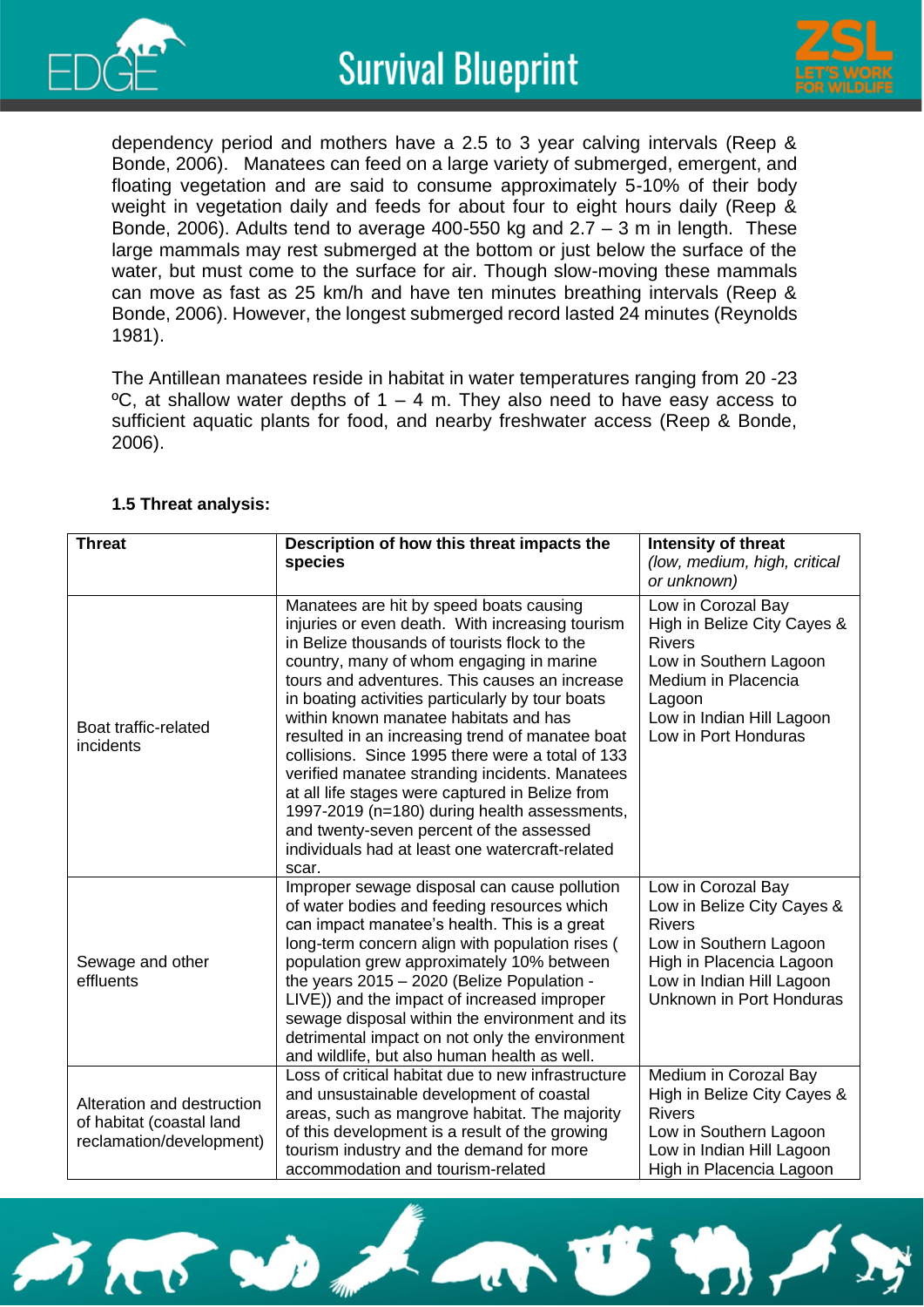



dependency period and mothers have a 2.5 to 3 year calving intervals (Reep & Bonde, 2006). Manatees can feed on a large variety of submerged, emergent, and floating vegetation and are said to consume approximately 5-10% of their body weight in vegetation daily and feeds for about four to eight hours daily (Reep & Bonde, 2006). Adults tend to average 400-550 kg and 2.7 – 3 m in length. These large mammals may rest submerged at the bottom or just below the surface of the water, but must come to the surface for air. Though slow-moving these mammals can move as fast as 25 km/h and have ten minutes breathing intervals (Reep & Bonde, 2006). However, the longest submerged record lasted 24 minutes (Reynolds 1981).

The Antillean manatees reside in habitat in water temperatures ranging from 20 -23  $\degree$ C, at shallow water depths of 1 – 4 m. They also need to have easy access to sufficient aquatic plants for food, and nearby freshwater access (Reep & Bonde, 2006).

| <b>Threat</b>                                                                      | Description of how this threat impacts the<br>species                                                                                                                                                                                                                                                                                                                                                                                                                                                                                                                                                                                                                                                    | Intensity of threat<br>(low, medium, high, critical<br>or unknown)                                                                                                                 |
|------------------------------------------------------------------------------------|----------------------------------------------------------------------------------------------------------------------------------------------------------------------------------------------------------------------------------------------------------------------------------------------------------------------------------------------------------------------------------------------------------------------------------------------------------------------------------------------------------------------------------------------------------------------------------------------------------------------------------------------------------------------------------------------------------|------------------------------------------------------------------------------------------------------------------------------------------------------------------------------------|
| Boat traffic-related<br>incidents                                                  | Manatees are hit by speed boats causing<br>injuries or even death. With increasing tourism<br>in Belize thousands of tourists flock to the<br>country, many of whom engaging in marine<br>tours and adventures. This causes an increase<br>in boating activities particularly by tour boats<br>within known manatee habitats and has<br>resulted in an increasing trend of manatee boat<br>collisions. Since 1995 there were a total of 133<br>verified manatee stranding incidents. Manatees<br>at all life stages were captured in Belize from<br>1997-2019 (n=180) during health assessments,<br>and twenty-seven percent of the assessed<br>individuals had at least one watercraft-related<br>scar. | Low in Corozal Bay<br>High in Belize City Cayes &<br><b>Rivers</b><br>Low in Southern Lagoon<br>Medium in Placencia<br>Lagoon<br>Low in Indian Hill Lagoon<br>Low in Port Honduras |
| Sewage and other<br>effluents                                                      | Improper sewage disposal can cause pollution<br>of water bodies and feeding resources which<br>can impact manatee's health. This is a great<br>long-term concern align with population rises (<br>population grew approximately 10% between<br>the years 2015 - 2020 (Belize Population -<br>LIVE)) and the impact of increased improper<br>sewage disposal within the environment and its<br>detrimental impact on not only the environment<br>and wildlife, but also human health as well.                                                                                                                                                                                                             | Low in Corozal Bay<br>Low in Belize City Cayes &<br><b>Rivers</b><br>Low in Southern Lagoon<br>High in Placencia Lagoon<br>Low in Indian Hill Lagoon<br>Unknown in Port Honduras   |
| Alteration and destruction<br>of habitat (coastal land<br>reclamation/development) | Loss of critical habitat due to new infrastructure<br>and unsustainable development of coastal<br>areas, such as mangrove habitat. The majority<br>of this development is a result of the growing<br>tourism industry and the demand for more<br>accommodation and tourism-related                                                                                                                                                                                                                                                                                                                                                                                                                       | Medium in Corozal Bay<br>High in Belize City Cayes &<br><b>Rivers</b><br>Low in Southern Lagoon<br>Low in Indian Hill Lagoon<br>High in Placencia Lagoon                           |

#### **1.5 Threat analysis:**

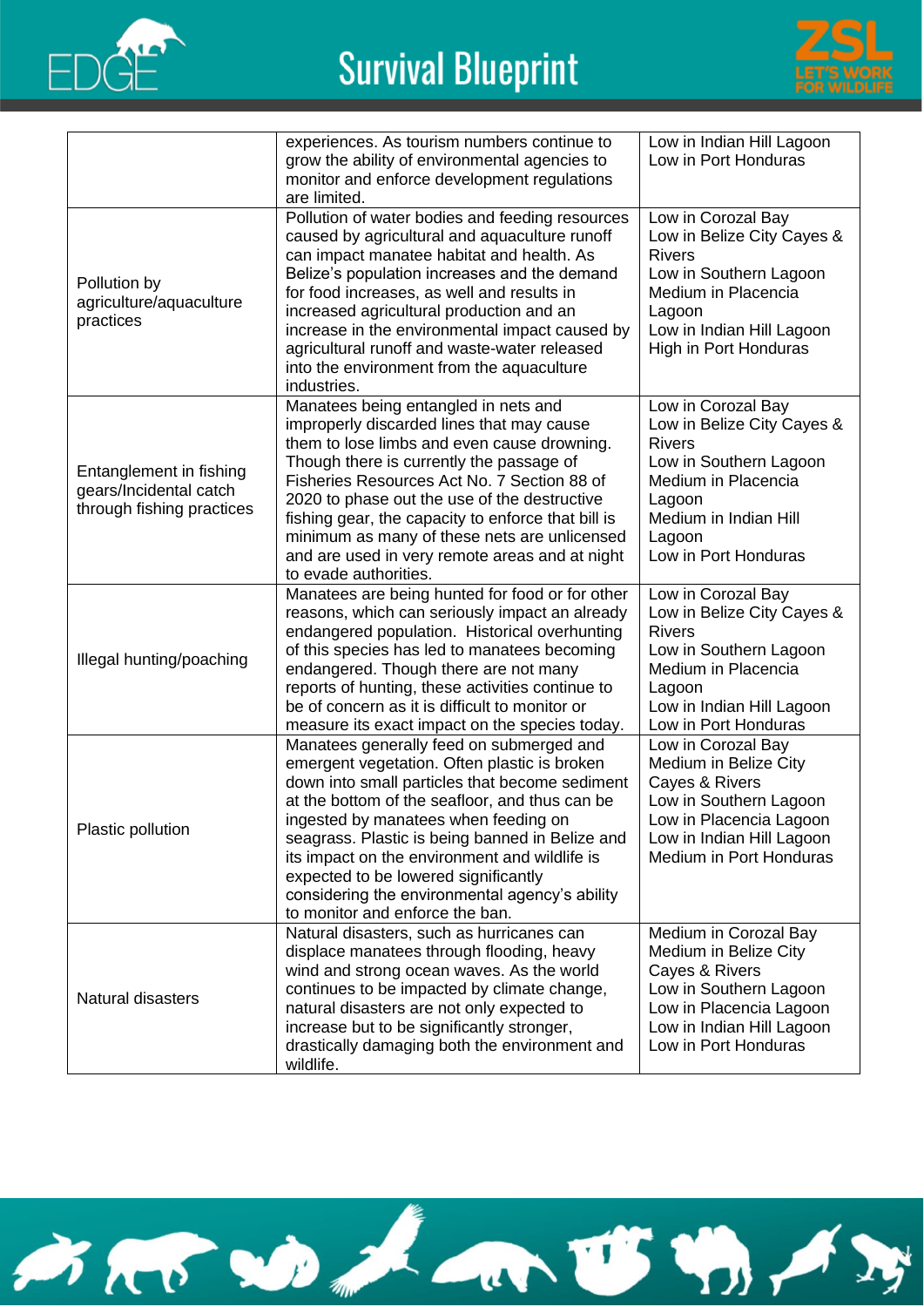



|                                                                                | experiences. As tourism numbers continue to<br>grow the ability of environmental agencies to                                                                                                                                                                                                                                                                                                                                                                          | Low in Indian Hill Lagoon<br>Low in Port Honduras                                                                                                                                       |
|--------------------------------------------------------------------------------|-----------------------------------------------------------------------------------------------------------------------------------------------------------------------------------------------------------------------------------------------------------------------------------------------------------------------------------------------------------------------------------------------------------------------------------------------------------------------|-----------------------------------------------------------------------------------------------------------------------------------------------------------------------------------------|
|                                                                                | monitor and enforce development regulations<br>are limited.                                                                                                                                                                                                                                                                                                                                                                                                           |                                                                                                                                                                                         |
| Pollution by<br>agriculture/aquaculture<br>practices                           | Pollution of water bodies and feeding resources<br>caused by agricultural and aquaculture runoff<br>can impact manatee habitat and health. As<br>Belize's population increases and the demand<br>for food increases, as well and results in<br>increased agricultural production and an<br>increase in the environmental impact caused by<br>agricultural runoff and waste-water released<br>into the environment from the aquaculture<br>industries.                 | Low in Corozal Bay<br>Low in Belize City Cayes &<br><b>Rivers</b><br>Low in Southern Lagoon<br>Medium in Placencia<br>Lagoon<br>Low in Indian Hill Lagoon<br>High in Port Honduras      |
| Entanglement in fishing<br>gears/Incidental catch<br>through fishing practices | Manatees being entangled in nets and<br>improperly discarded lines that may cause<br>them to lose limbs and even cause drowning.<br>Though there is currently the passage of<br>Fisheries Resources Act No. 7 Section 88 of<br>2020 to phase out the use of the destructive<br>fishing gear, the capacity to enforce that bill is<br>minimum as many of these nets are unlicensed<br>and are used in very remote areas and at night<br>to evade authorities.          | Low in Corozal Bay<br>Low in Belize City Cayes &<br><b>Rivers</b><br>Low in Southern Lagoon<br>Medium in Placencia<br>Lagoon<br>Medium in Indian Hill<br>Lagoon<br>Low in Port Honduras |
| Illegal hunting/poaching                                                       | Manatees are being hunted for food or for other<br>reasons, which can seriously impact an already<br>endangered population. Historical overhunting<br>of this species has led to manatees becoming<br>endangered. Though there are not many<br>reports of hunting, these activities continue to<br>be of concern as it is difficult to monitor or<br>measure its exact impact on the species today.                                                                   | Low in Corozal Bay<br>Low in Belize City Cayes &<br><b>Rivers</b><br>Low in Southern Lagoon<br>Medium in Placencia<br>Lagoon<br>Low in Indian Hill Lagoon<br>Low in Port Honduras       |
| Plastic pollution                                                              | Manatees generally feed on submerged and<br>emergent vegetation. Often plastic is broken<br>down into small particles that become sediment<br>at the bottom of the seafloor, and thus can be<br>ingested by manatees when feeding on<br>seagrass. Plastic is being banned in Belize and<br>its impact on the environment and wildlife is<br>expected to be lowered significantly<br>considering the environmental agency's ability<br>to monitor and enforce the ban. | Low in Corozal Bay<br>Medium in Belize City<br>Cayes & Rivers<br>Low in Southern Lagoon<br>Low in Placencia Lagoon<br>Low in Indian Hill Lagoon<br>Medium in Port Honduras              |
| Natural disasters                                                              | Natural disasters, such as hurricanes can<br>displace manatees through flooding, heavy<br>wind and strong ocean waves. As the world<br>continues to be impacted by climate change,<br>natural disasters are not only expected to<br>increase but to be significantly stronger,<br>drastically damaging both the environment and<br>wildlife.                                                                                                                          | Medium in Corozal Bay<br>Medium in Belize City<br>Cayes & Rivers<br>Low in Southern Lagoon<br>Low in Placencia Lagoon<br>Low in Indian Hill Lagoon<br>Low in Port Honduras              |

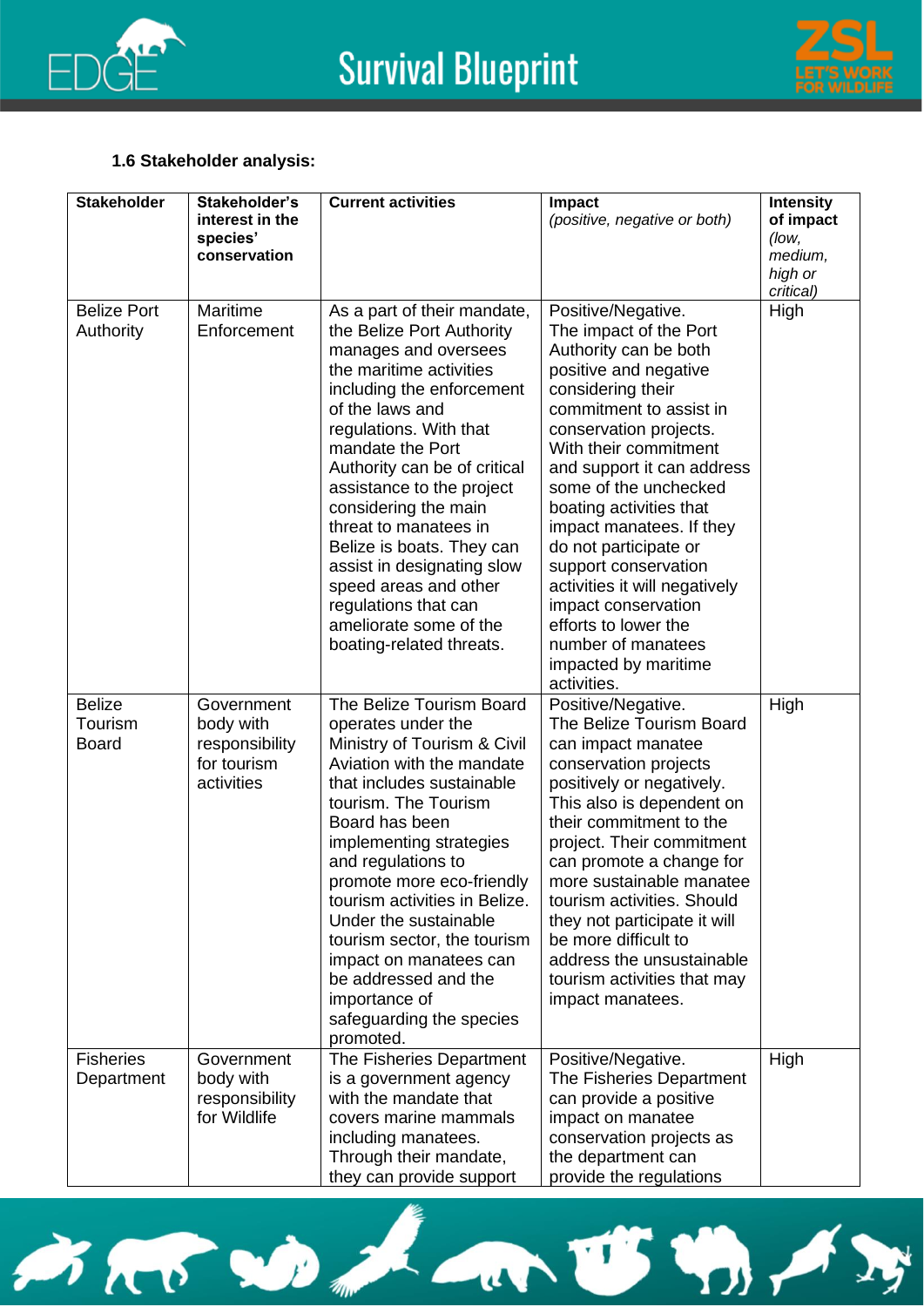



#### **1.6 Stakeholder analysis:**

| <b>Stakeholder</b>                       | Stakeholder's<br>interest in the<br>species'<br>conservation           | <b>Current activities</b>                                                                                                                                                                                                                                                                                                                                                                                                                                                                 | <b>Impact</b><br>(positive, negative or both)                                                                                                                                                                                                                                                                                                                                                                                                                                                                 | <b>Intensity</b><br>of impact<br>(low,<br>medium,<br>high or<br>critical) |
|------------------------------------------|------------------------------------------------------------------------|-------------------------------------------------------------------------------------------------------------------------------------------------------------------------------------------------------------------------------------------------------------------------------------------------------------------------------------------------------------------------------------------------------------------------------------------------------------------------------------------|---------------------------------------------------------------------------------------------------------------------------------------------------------------------------------------------------------------------------------------------------------------------------------------------------------------------------------------------------------------------------------------------------------------------------------------------------------------------------------------------------------------|---------------------------------------------------------------------------|
| <b>Belize Port</b><br>Authority          | Maritime<br>Enforcement                                                | As a part of their mandate,<br>the Belize Port Authority<br>manages and oversees<br>the maritime activities<br>including the enforcement<br>of the laws and<br>regulations. With that<br>mandate the Port<br>Authority can be of critical<br>assistance to the project<br>considering the main<br>threat to manatees in<br>Belize is boats. They can<br>assist in designating slow<br>speed areas and other<br>regulations that can<br>ameliorate some of the<br>boating-related threats. | Positive/Negative.<br>The impact of the Port<br>Authority can be both<br>positive and negative<br>considering their<br>commitment to assist in<br>conservation projects.<br>With their commitment<br>and support it can address<br>some of the unchecked<br>boating activities that<br>impact manatees. If they<br>do not participate or<br>support conservation<br>activities it will negatively<br>impact conservation<br>efforts to lower the<br>number of manatees<br>impacted by maritime<br>activities. | High                                                                      |
| <b>Belize</b><br>Tourism<br><b>Board</b> | Government<br>body with<br>responsibility<br>for tourism<br>activities | The Belize Tourism Board<br>operates under the<br>Ministry of Tourism & Civil<br>Aviation with the mandate<br>that includes sustainable<br>tourism. The Tourism<br>Board has been<br>implementing strategies<br>and regulations to<br>promote more eco-friendly<br>tourism activities in Belize.<br>Under the sustainable<br>tourism sector, the tourism<br>impact on manatees can<br>be addressed and the<br>importance of<br>safeguarding the species<br>promoted.                      | Positive/Negative.<br>The Belize Tourism Board<br>can impact manatee<br>conservation projects<br>positively or negatively.<br>This also is dependent on<br>their commitment to the<br>project. Their commitment<br>can promote a change for<br>more sustainable manatee<br>tourism activities. Should<br>they not participate it will<br>be more difficult to<br>address the unsustainable<br>tourism activities that may<br>impact manatees.                                                                 | High                                                                      |
| <b>Fisheries</b><br>Department           | Government<br>body with<br>responsibility<br>for Wildlife              | The Fisheries Department<br>is a government agency<br>with the mandate that<br>covers marine mammals<br>including manatees.<br>Through their mandate,<br>they can provide support                                                                                                                                                                                                                                                                                                         | Positive/Negative.<br>The Fisheries Department<br>can provide a positive<br>impact on manatee<br>conservation projects as<br>the department can<br>provide the regulations                                                                                                                                                                                                                                                                                                                                    | High                                                                      |

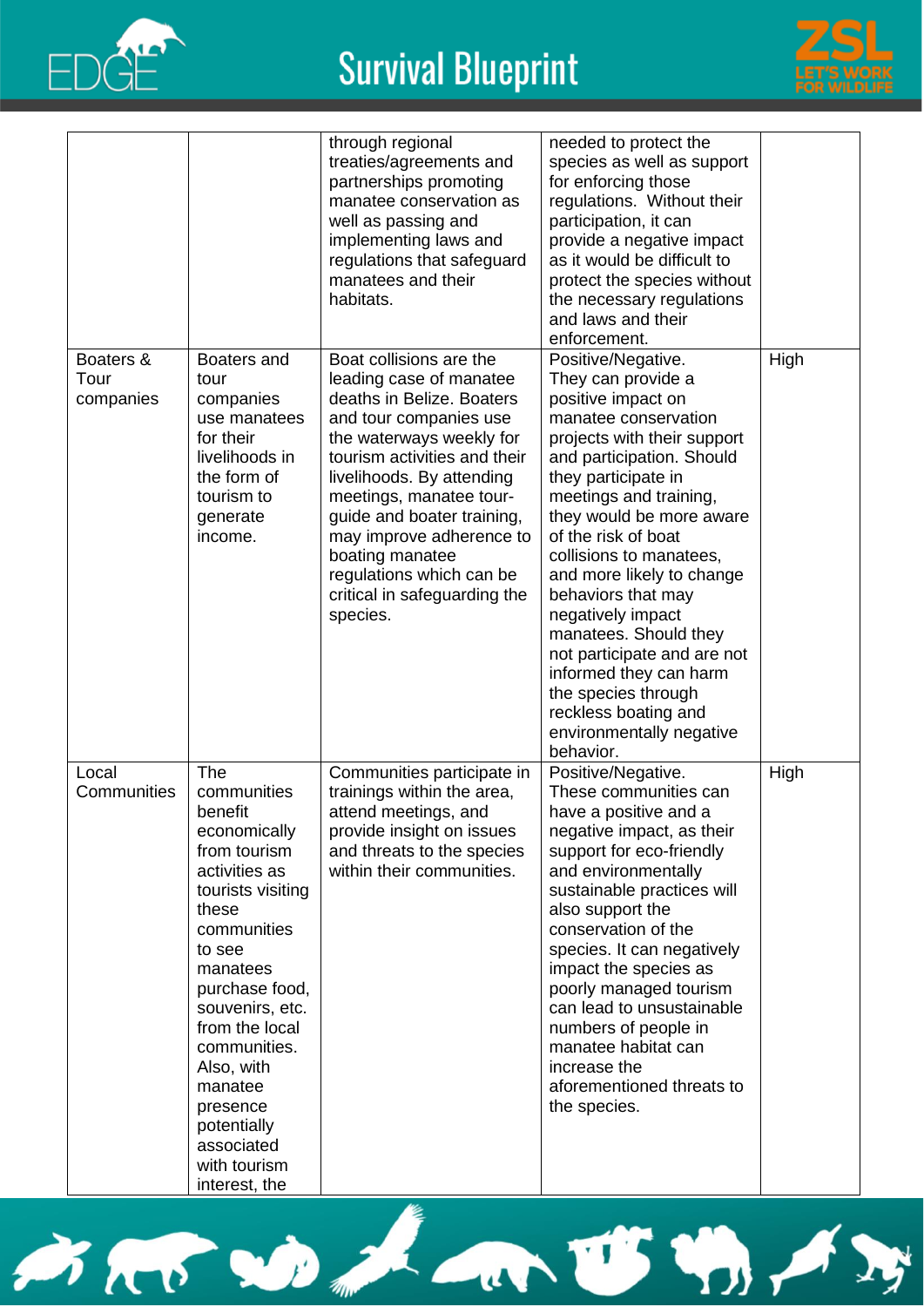



|                                |                                                                                                                                                                                                                                                                                                                             | through regional<br>treaties/agreements and<br>partnerships promoting<br>manatee conservation as<br>well as passing and<br>implementing laws and<br>regulations that safeguard<br>manatees and their<br>habitats.                                                                                                                                                                  | needed to protect the<br>species as well as support<br>for enforcing those<br>regulations. Without their<br>participation, it can<br>provide a negative impact<br>as it would be difficult to<br>protect the species without<br>the necessary regulations<br>and laws and their<br>enforcement.                                                                                                                                                                                                                                     |      |
|--------------------------------|-----------------------------------------------------------------------------------------------------------------------------------------------------------------------------------------------------------------------------------------------------------------------------------------------------------------------------|------------------------------------------------------------------------------------------------------------------------------------------------------------------------------------------------------------------------------------------------------------------------------------------------------------------------------------------------------------------------------------|-------------------------------------------------------------------------------------------------------------------------------------------------------------------------------------------------------------------------------------------------------------------------------------------------------------------------------------------------------------------------------------------------------------------------------------------------------------------------------------------------------------------------------------|------|
| Boaters &<br>Tour<br>companies | Boaters and<br>tour<br>companies<br>use manatees<br>for their<br>livelihoods in<br>the form of<br>tourism to<br>generate<br>income.                                                                                                                                                                                         | Boat collisions are the<br>leading case of manatee<br>deaths in Belize. Boaters<br>and tour companies use<br>the waterways weekly for<br>tourism activities and their<br>livelihoods. By attending<br>meetings, manatee tour-<br>guide and boater training,<br>may improve adherence to<br>boating manatee<br>regulations which can be<br>critical in safeguarding the<br>species. | Positive/Negative.<br>They can provide a<br>positive impact on<br>manatee conservation<br>projects with their support<br>and participation. Should<br>they participate in<br>meetings and training,<br>they would be more aware<br>of the risk of boat<br>collisions to manatees,<br>and more likely to change<br>behaviors that may<br>negatively impact<br>manatees. Should they<br>not participate and are not<br>informed they can harm<br>the species through<br>reckless boating and<br>environmentally negative<br>behavior. | High |
| Local<br>Communities           | The<br>communities<br>benefit<br>economically<br>from tourism<br>activities as<br>tourists visiting<br>these<br>communities<br>to see<br>manatees<br>purchase food,<br>souvenirs, etc.<br>from the local<br>communities.<br>Also, with<br>manatee<br>presence<br>potentially<br>associated<br>with tourism<br>interest, the | Communities participate in<br>trainings within the area,<br>attend meetings, and<br>provide insight on issues<br>and threats to the species<br>within their communities.                                                                                                                                                                                                           | Positive/Negative.<br>These communities can<br>have a positive and a<br>negative impact, as their<br>support for eco-friendly<br>and environmentally<br>sustainable practices will<br>also support the<br>conservation of the<br>species. It can negatively<br>impact the species as<br>poorly managed tourism<br>can lead to unsustainable<br>numbers of people in<br>manatee habitat can<br>increase the<br>aforementioned threats to<br>the species.                                                                             | High |

SEE SO La US 4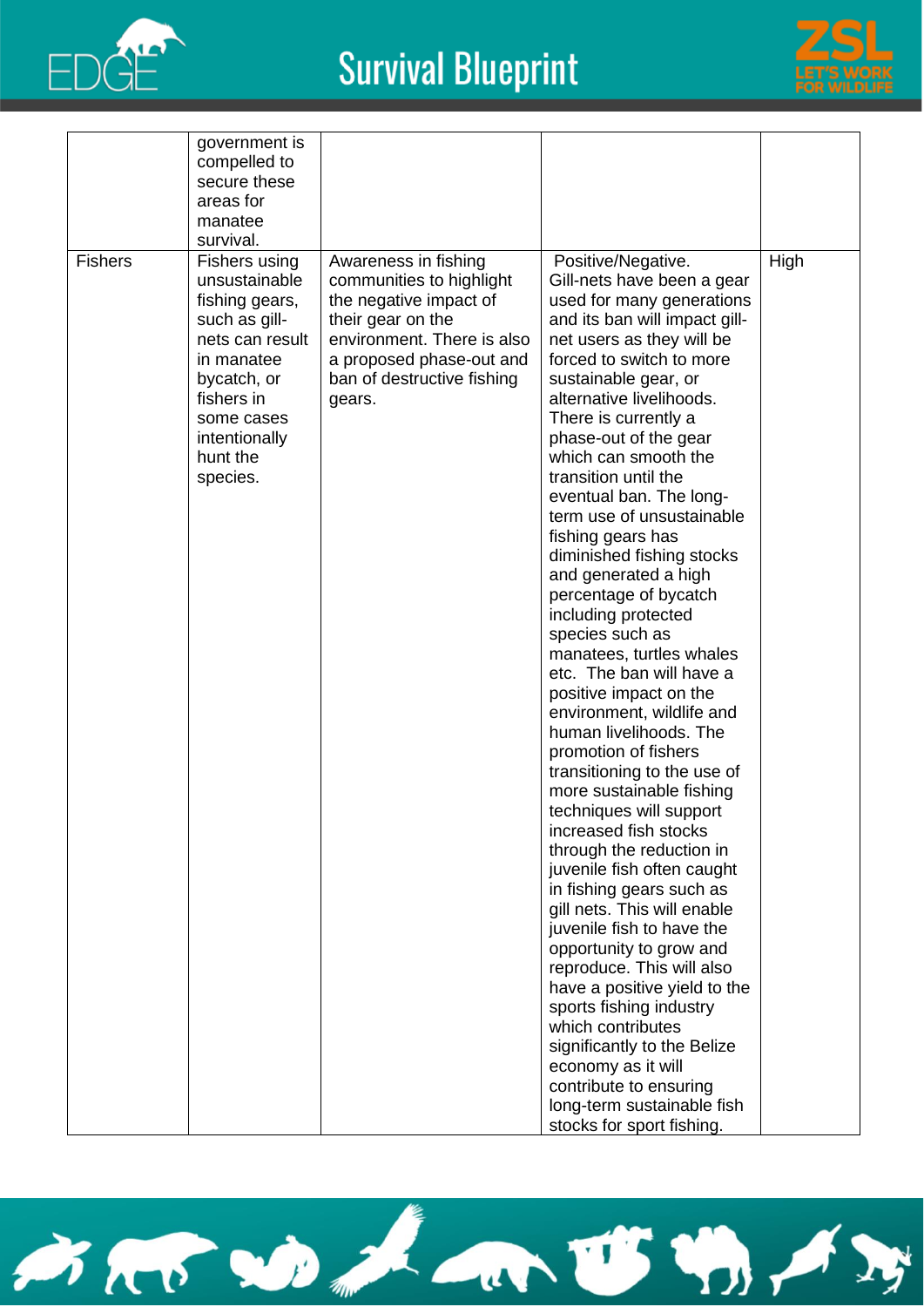



| <b>Fishers</b> | government is<br>compelled to<br>secure these<br>areas for<br>manatee<br>survival.<br>Fishers using<br>unsustainable<br>fishing gears, | Awareness in fishing<br>communities to highlight                                                                                              | Positive/Negative.<br>Gill-nets have been a gear                                                                                                                                                                                                                                                                                                                                                                                                                                                                                                                                                                                                                                                                                                                                                                                                                                                                                                                        | High |
|----------------|----------------------------------------------------------------------------------------------------------------------------------------|-----------------------------------------------------------------------------------------------------------------------------------------------|-------------------------------------------------------------------------------------------------------------------------------------------------------------------------------------------------------------------------------------------------------------------------------------------------------------------------------------------------------------------------------------------------------------------------------------------------------------------------------------------------------------------------------------------------------------------------------------------------------------------------------------------------------------------------------------------------------------------------------------------------------------------------------------------------------------------------------------------------------------------------------------------------------------------------------------------------------------------------|------|
|                | such as gill-<br>nets can result<br>in manatee<br>bycatch, or<br>fishers in<br>some cases<br>intentionally<br>hunt the<br>species.     | the negative impact of<br>their gear on the<br>environment. There is also<br>a proposed phase-out and<br>ban of destructive fishing<br>gears. | used for many generations<br>and its ban will impact gill-<br>net users as they will be<br>forced to switch to more<br>sustainable gear, or<br>alternative livelihoods.<br>There is currently a<br>phase-out of the gear<br>which can smooth the<br>transition until the<br>eventual ban. The long-<br>term use of unsustainable<br>fishing gears has<br>diminished fishing stocks<br>and generated a high<br>percentage of bycatch<br>including protected<br>species such as<br>manatees, turtles whales<br>etc. The ban will have a<br>positive impact on the<br>environment, wildlife and<br>human livelihoods. The<br>promotion of fishers<br>transitioning to the use of<br>more sustainable fishing<br>techniques will support<br>increased fish stocks<br>through the reduction in<br>juvenile fish often caught<br>in fishing gears such as<br>gill nets. This will enable<br>juvenile fish to have the<br>opportunity to grow and<br>reproduce. This will also |      |
|                |                                                                                                                                        |                                                                                                                                               | have a positive yield to the<br>sports fishing industry<br>which contributes<br>significantly to the Belize<br>economy as it will                                                                                                                                                                                                                                                                                                                                                                                                                                                                                                                                                                                                                                                                                                                                                                                                                                       |      |
|                |                                                                                                                                        |                                                                                                                                               | contribute to ensuring<br>long-term sustainable fish<br>stocks for sport fishing.                                                                                                                                                                                                                                                                                                                                                                                                                                                                                                                                                                                                                                                                                                                                                                                                                                                                                       |      |

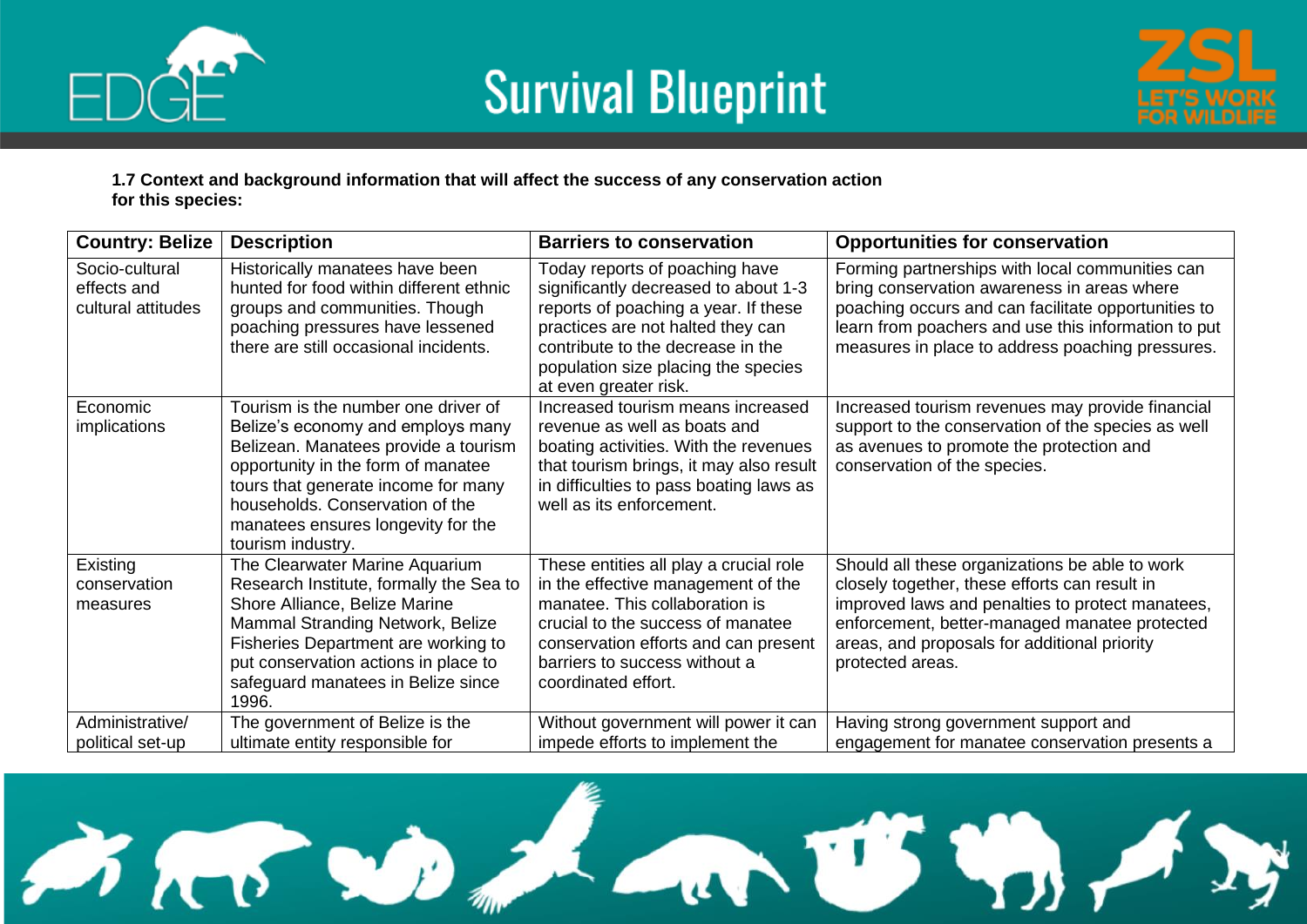



**1.7 Context and background information that will affect the success of any conservation action for this species:**

| <b>Country: Belize</b>                              | <b>Description</b>                                                                                                                                                                                                                                                                          | <b>Barriers to conservation</b>                                                                                                                                                                                                                          | <b>Opportunities for conservation</b>                                                                                                                                                                                                                                    |
|-----------------------------------------------------|---------------------------------------------------------------------------------------------------------------------------------------------------------------------------------------------------------------------------------------------------------------------------------------------|----------------------------------------------------------------------------------------------------------------------------------------------------------------------------------------------------------------------------------------------------------|--------------------------------------------------------------------------------------------------------------------------------------------------------------------------------------------------------------------------------------------------------------------------|
| Socio-cultural<br>effects and<br>cultural attitudes | Historically manatees have been<br>hunted for food within different ethnic<br>groups and communities. Though<br>poaching pressures have lessened<br>there are still occasional incidents.                                                                                                   | Today reports of poaching have<br>significantly decreased to about 1-3<br>reports of poaching a year. If these<br>practices are not halted they can<br>contribute to the decrease in the<br>population size placing the species<br>at even greater risk. | Forming partnerships with local communities can<br>bring conservation awareness in areas where<br>poaching occurs and can facilitate opportunities to<br>learn from poachers and use this information to put<br>measures in place to address poaching pressures.         |
| Economic<br>implications                            | Tourism is the number one driver of<br>Belize's economy and employs many<br>Belizean. Manatees provide a tourism<br>opportunity in the form of manatee<br>tours that generate income for many<br>households. Conservation of the<br>manatees ensures longevity for the<br>tourism industry. | Increased tourism means increased<br>revenue as well as boats and<br>boating activities. With the revenues<br>that tourism brings, it may also result<br>in difficulties to pass boating laws as<br>well as its enforcement.                             | Increased tourism revenues may provide financial<br>support to the conservation of the species as well<br>as avenues to promote the protection and<br>conservation of the species.                                                                                       |
| Existing<br>conservation<br>measures                | The Clearwater Marine Aquarium<br>Research Institute, formally the Sea to<br>Shore Alliance, Belize Marine<br>Mammal Stranding Network, Belize<br>Fisheries Department are working to<br>put conservation actions in place to<br>safeguard manatees in Belize since<br>1996.                | These entities all play a crucial role<br>in the effective management of the<br>manatee. This collaboration is<br>crucial to the success of manatee<br>conservation efforts and can present<br>barriers to success without a<br>coordinated effort.      | Should all these organizations be able to work<br>closely together, these efforts can result in<br>improved laws and penalties to protect manatees,<br>enforcement, better-managed manatee protected<br>areas, and proposals for additional priority<br>protected areas. |
| Administrative/<br>political set-up                 | The government of Belize is the<br>ultimate entity responsible for                                                                                                                                                                                                                          | Without government will power it can<br>impede efforts to implement the                                                                                                                                                                                  | Having strong government support and<br>engagement for manatee conservation presents a                                                                                                                                                                                   |

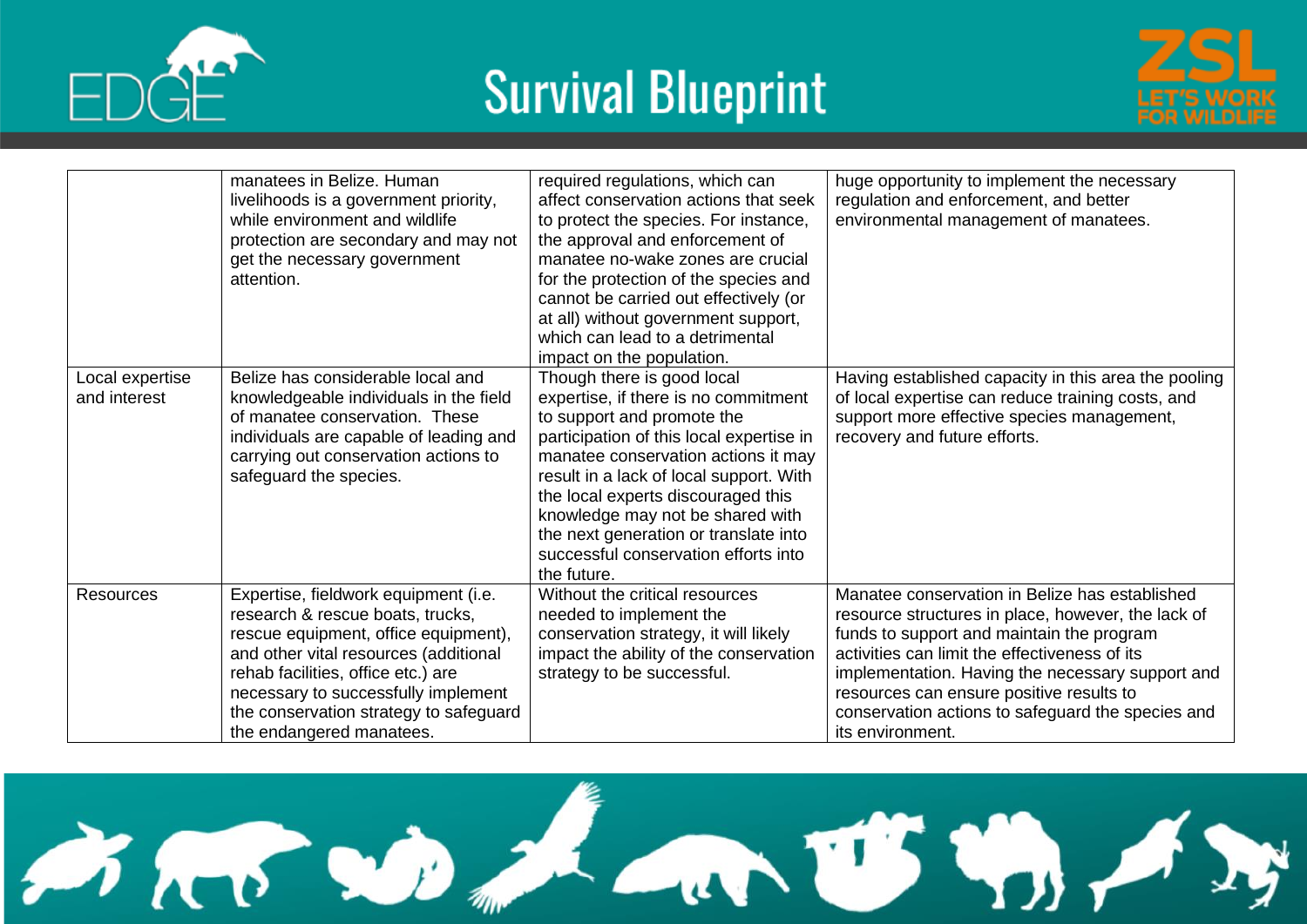



|                                 | manatees in Belize, Human<br>livelihoods is a government priority,<br>while environment and wildlife<br>protection are secondary and may not<br>get the necessary government<br>attention.                                                                                                                   | required regulations, which can<br>affect conservation actions that seek<br>to protect the species. For instance,<br>the approval and enforcement of<br>manatee no-wake zones are crucial<br>for the protection of the species and<br>cannot be carried out effectively (or<br>at all) without government support,<br>which can lead to a detrimental<br>impact on the population.                       | huge opportunity to implement the necessary<br>regulation and enforcement, and better<br>environmental management of manatees.                                                                                                                                                                                                                                              |
|---------------------------------|--------------------------------------------------------------------------------------------------------------------------------------------------------------------------------------------------------------------------------------------------------------------------------------------------------------|----------------------------------------------------------------------------------------------------------------------------------------------------------------------------------------------------------------------------------------------------------------------------------------------------------------------------------------------------------------------------------------------------------|-----------------------------------------------------------------------------------------------------------------------------------------------------------------------------------------------------------------------------------------------------------------------------------------------------------------------------------------------------------------------------|
| Local expertise<br>and interest | Belize has considerable local and<br>knowledgeable individuals in the field<br>of manatee conservation. These<br>individuals are capable of leading and<br>carrying out conservation actions to<br>safeguard the species.                                                                                    | Though there is good local<br>expertise, if there is no commitment<br>to support and promote the<br>participation of this local expertise in<br>manatee conservation actions it may<br>result in a lack of local support. With<br>the local experts discouraged this<br>knowledge may not be shared with<br>the next generation or translate into<br>successful conservation efforts into<br>the future. | Having established capacity in this area the pooling<br>of local expertise can reduce training costs, and<br>support more effective species management,<br>recovery and future efforts.                                                                                                                                                                                     |
| <b>Resources</b>                | Expertise, fieldwork equipment (i.e.<br>research & rescue boats, trucks,<br>rescue equipment, office equipment),<br>and other vital resources (additional<br>rehab facilities, office etc.) are<br>necessary to successfully implement<br>the conservation strategy to safeguard<br>the endangered manatees. | Without the critical resources<br>needed to implement the<br>conservation strategy, it will likely<br>impact the ability of the conservation<br>strategy to be successful.                                                                                                                                                                                                                               | Manatee conservation in Belize has established<br>resource structures in place, however, the lack of<br>funds to support and maintain the program<br>activities can limit the effectiveness of its<br>implementation. Having the necessary support and<br>resources can ensure positive results to<br>conservation actions to safeguard the species and<br>its environment. |

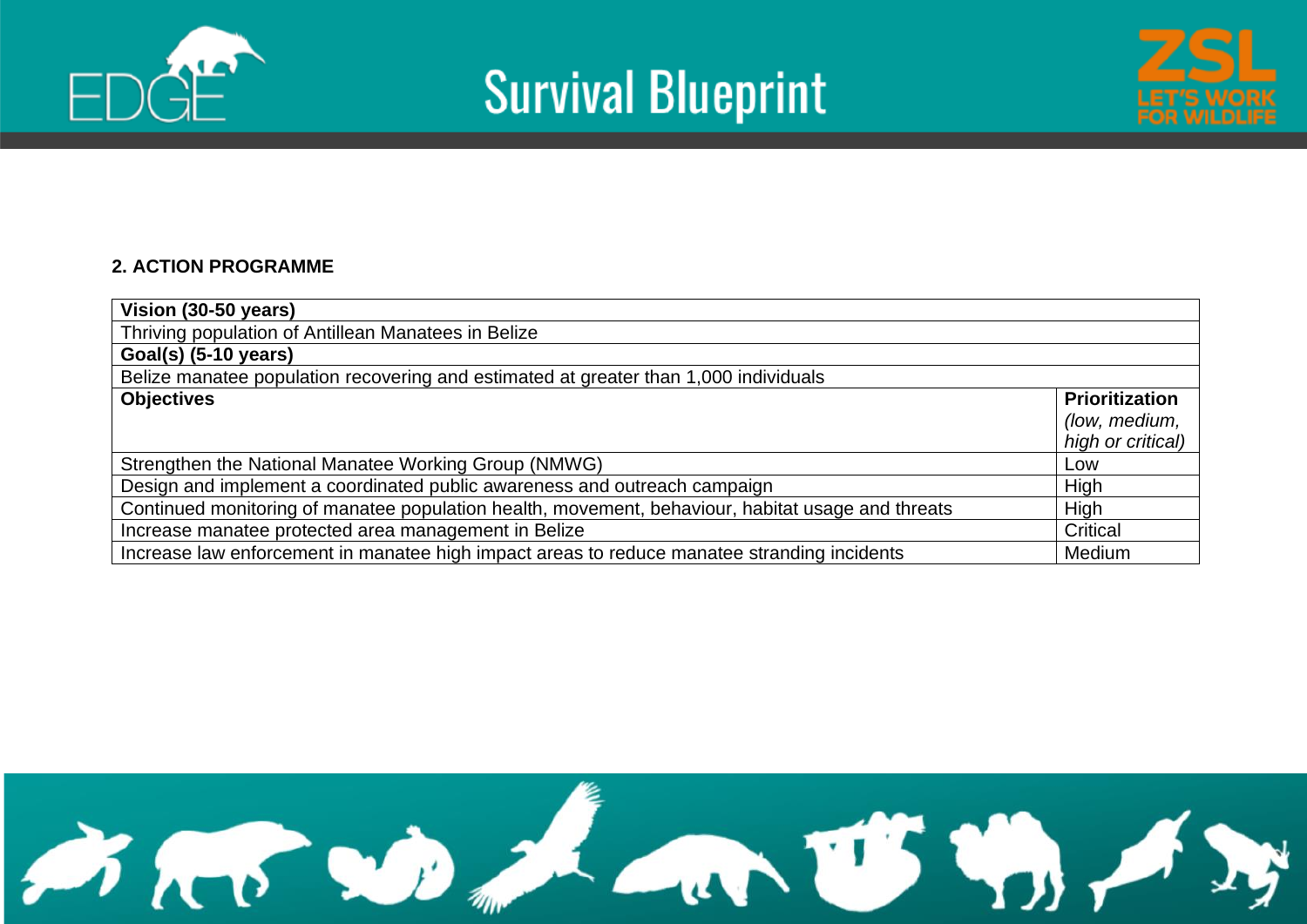





#### **2. ACTION PROGRAMME**

| Vision (30-50 years)                                                                              |                                                             |
|---------------------------------------------------------------------------------------------------|-------------------------------------------------------------|
| Thriving population of Antillean Manatees in Belize                                               |                                                             |
| Goal(s) (5-10 years)                                                                              |                                                             |
| Belize manatee population recovering and estimated at greater than 1,000 individuals              |                                                             |
| <b>Objectives</b>                                                                                 | <b>Prioritization</b><br>(low, medium,<br>high or critical) |
| Strengthen the National Manatee Working Group (NMWG)                                              | Low                                                         |
| Design and implement a coordinated public awareness and outreach campaign                         | High                                                        |
| Continued monitoring of manatee population health, movement, behaviour, habitat usage and threats | High                                                        |
| Increase manatee protected area management in Belize                                              | Critical                                                    |
| Increase law enforcement in manatee high impact areas to reduce manatee stranding incidents       | Medium                                                      |

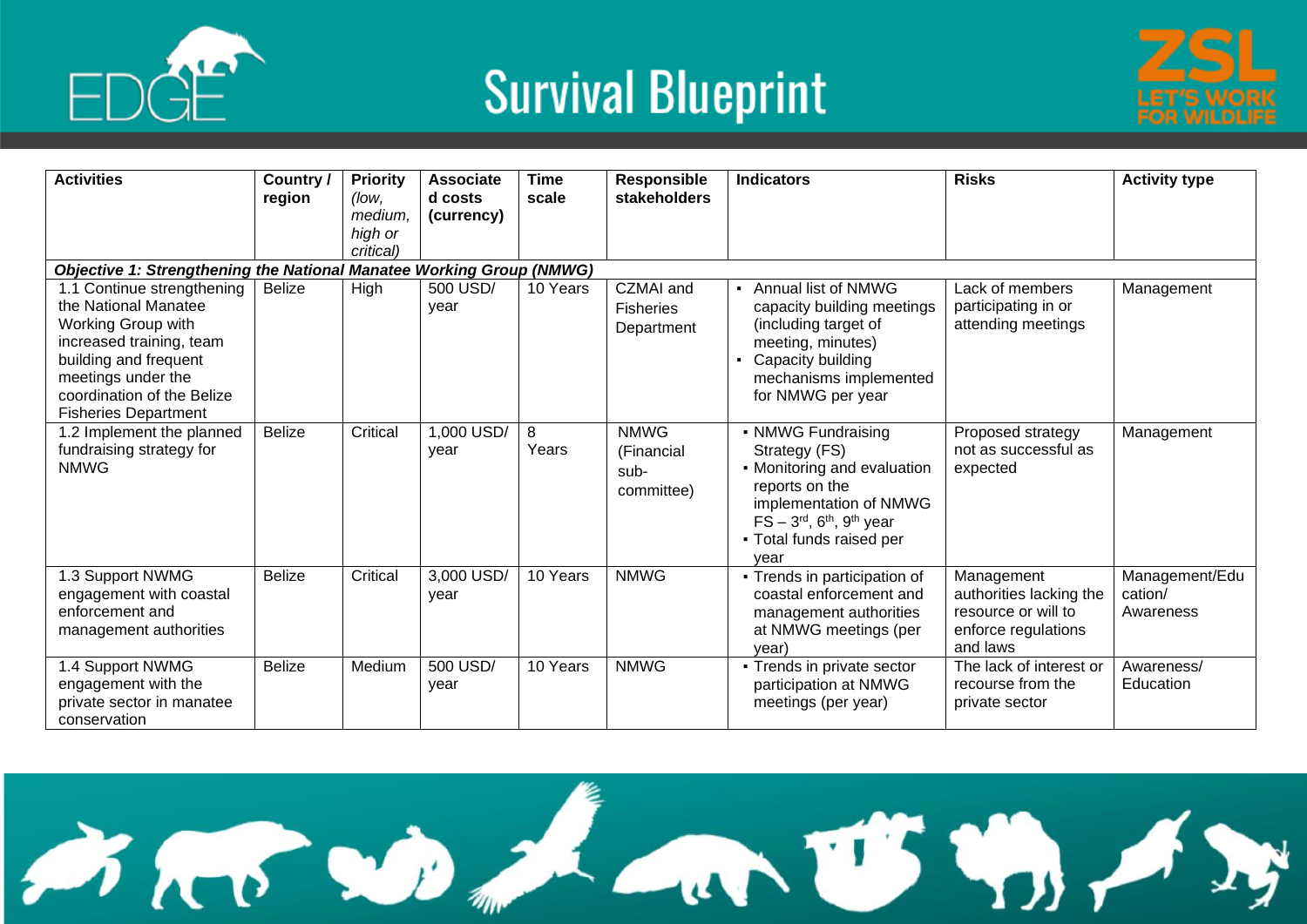



| <b>Activities</b>                                                                                                                                                                                                | Country /<br>region | <b>Priority</b><br>(low,        | <b>Associate</b><br>d costs | <b>Time</b><br>scale | Responsible<br>stakeholders                     | <b>Indicators</b>                                                                                                                                                                                         | <b>Risks</b>                                                                                    | <b>Activity type</b>                   |
|------------------------------------------------------------------------------------------------------------------------------------------------------------------------------------------------------------------|---------------------|---------------------------------|-----------------------------|----------------------|-------------------------------------------------|-----------------------------------------------------------------------------------------------------------------------------------------------------------------------------------------------------------|-------------------------------------------------------------------------------------------------|----------------------------------------|
|                                                                                                                                                                                                                  |                     | medium.<br>high or<br>critical) | (currency)                  |                      |                                                 |                                                                                                                                                                                                           |                                                                                                 |                                        |
| <b>Objective 1: Strengthening the National Manatee Working Group (NMWG)</b>                                                                                                                                      |                     |                                 |                             |                      |                                                 |                                                                                                                                                                                                           |                                                                                                 |                                        |
| 1.1 Continue strengthening<br>the National Manatee<br>Working Group with<br>increased training, team<br>building and frequent<br>meetings under the<br>coordination of the Belize<br><b>Fisheries Department</b> | <b>Belize</b>       | High                            | 500 USD/<br>year            | 10 Years             | CZMAI and<br><b>Fisheries</b><br>Department     | - Annual list of NMWG<br>capacity building meetings<br>(including target of<br>meeting, minutes)<br>Capacity building<br>mechanisms implemented<br>for NMWG per year                                      | Lack of members<br>participating in or<br>attending meetings                                    | Management                             |
| 1.2 Implement the planned<br>fundraising strategy for<br><b>NMWG</b>                                                                                                                                             | <b>Belize</b>       | Critical                        | 1,000 USD/<br>year          | 8<br>Years           | <b>NMWG</b><br>(Financial<br>sub-<br>committee) | • NMWG Fundraising<br>Strategy (FS)<br>• Monitoring and evaluation<br>reports on the<br>implementation of NMWG<br>$FS - 3rd$ , 6 <sup>th</sup> , 9 <sup>th</sup> year<br>• Total funds raised per<br>vear | Proposed strategy<br>not as successful as<br>expected                                           | Management                             |
| 1.3 Support NWMG<br>engagement with coastal<br>enforcement and<br>management authorities                                                                                                                         | <b>Belize</b>       | Critical                        | 3,000 USD/<br>year          | 10 Years             | <b>NMWG</b>                                     | • Trends in participation of<br>coastal enforcement and<br>management authorities<br>at NMWG meetings (per<br>vear)                                                                                       | Management<br>authorities lacking the<br>resource or will to<br>enforce regulations<br>and laws | Management/Edu<br>cation/<br>Awareness |
| 1.4 Support NWMG<br>engagement with the<br>private sector in manatee<br>conservation                                                                                                                             | <b>Belize</b>       | Medium                          | 500 USD/<br>year            | 10 Years             | <b>NMWG</b>                                     | • Trends in private sector<br>participation at NMWG<br>meetings (per year)                                                                                                                                | The lack of interest or<br>recourse from the<br>private sector                                  | Awareness/<br>Education                |

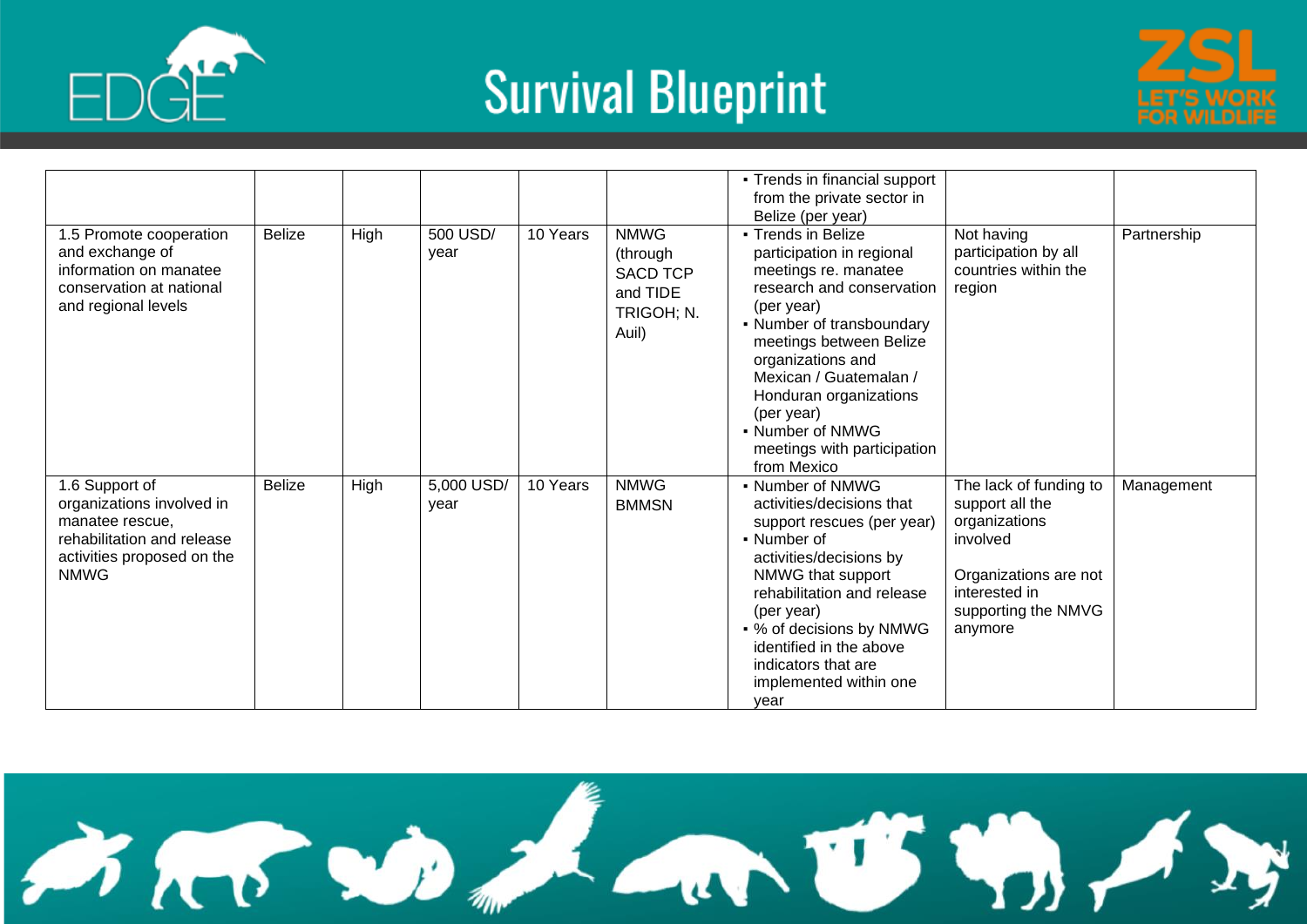



|                                                                                                                                           |               |      |                    |          |                                                                               | • Trends in financial support<br>from the private sector in<br>Belize (per year)                                                                                                                                                                                                                                                    |                                                                                                                                                    |             |
|-------------------------------------------------------------------------------------------------------------------------------------------|---------------|------|--------------------|----------|-------------------------------------------------------------------------------|-------------------------------------------------------------------------------------------------------------------------------------------------------------------------------------------------------------------------------------------------------------------------------------------------------------------------------------|----------------------------------------------------------------------------------------------------------------------------------------------------|-------------|
| 1.5 Promote cooperation<br>and exchange of<br>information on manatee<br>conservation at national<br>and regional levels                   | <b>Belize</b> | High | 500 USD/<br>year   | 10 Years | <b>NMWG</b><br>(through<br><b>SACD TCP</b><br>and TIDE<br>TRIGOH; N.<br>Auil) | • Trends in Belize<br>participation in regional<br>meetings re. manatee<br>research and conservation<br>(per year)<br>• Number of transboundary<br>meetings between Belize<br>organizations and<br>Mexican / Guatemalan /<br>Honduran organizations<br>(per year)<br>- Number of NMWG<br>meetings with participation<br>from Mexico | Not having<br>participation by all<br>countries within the<br>region                                                                               | Partnership |
| 1.6 Support of<br>organizations involved in<br>manatee rescue,<br>rehabilitation and release<br>activities proposed on the<br><b>NMWG</b> | <b>Belize</b> | High | 5,000 USD/<br>year | 10 Years | <b>NMWG</b><br><b>BMMSN</b>                                                   | • Number of NMWG<br>activities/decisions that<br>support rescues (per year)<br>• Number of<br>activities/decisions by<br>NMWG that support<br>rehabilitation and release<br>(per year)<br>• % of decisions by NMWG<br>identified in the above<br>indicators that are<br>implemented within one<br>year                              | The lack of funding to<br>support all the<br>organizations<br>involved<br>Organizations are not<br>interested in<br>supporting the NMVG<br>anymore | Management  |

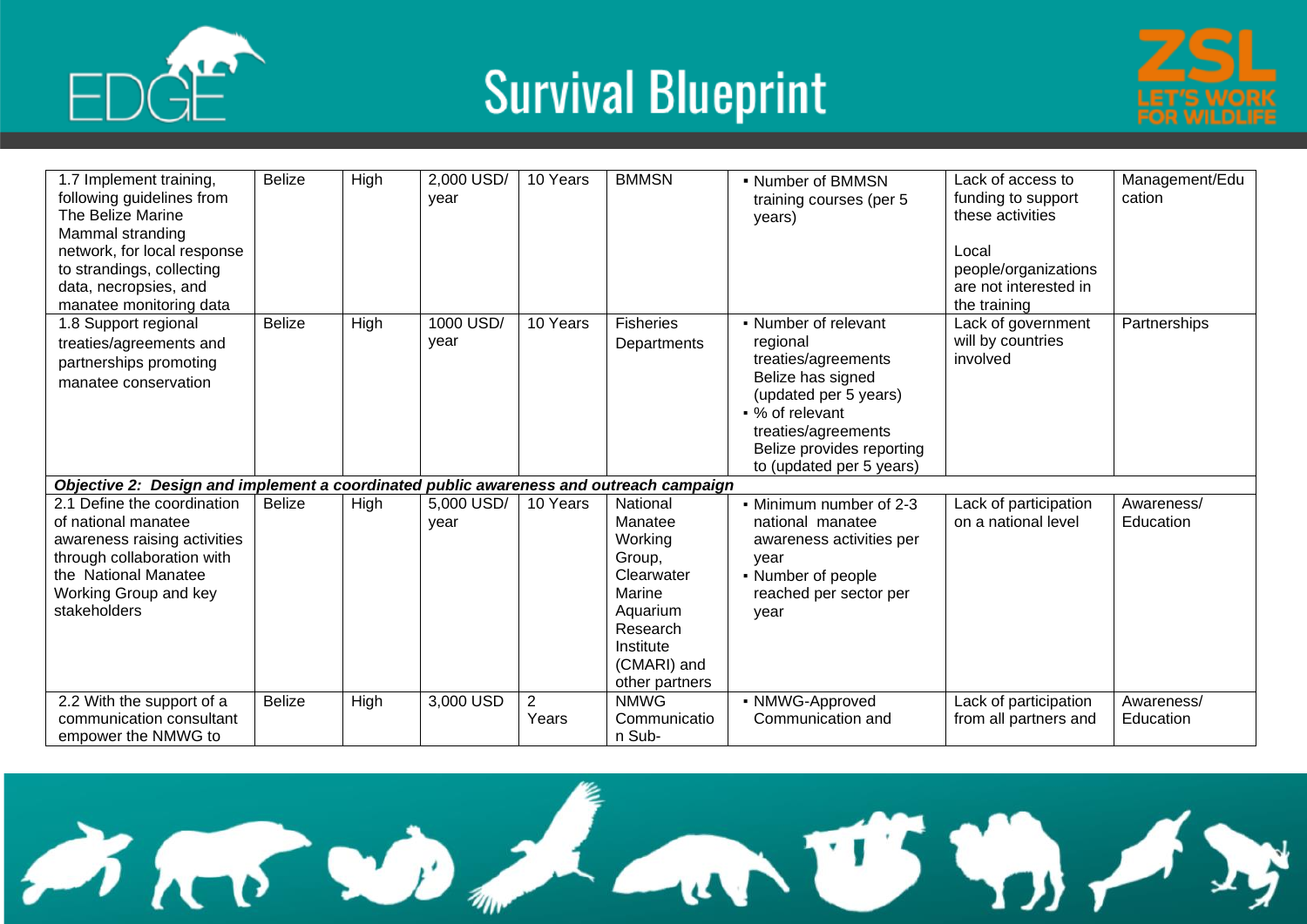





| 1.7 Implement training,<br>following guidelines from<br>The Belize Marine<br>Mammal stranding<br>network, for local response                                                      | <b>Belize</b> | High        | 2,000 USD/<br>year | 10 Years                | <b>BMMSN</b>                                                                                                                           | • Number of BMMSN<br>training courses (per 5<br>years)                                                                                                                                                   | Lack of access to<br>funding to support<br>these activities<br>Local | Management/Edu<br>cation |
|-----------------------------------------------------------------------------------------------------------------------------------------------------------------------------------|---------------|-------------|--------------------|-------------------------|----------------------------------------------------------------------------------------------------------------------------------------|----------------------------------------------------------------------------------------------------------------------------------------------------------------------------------------------------------|----------------------------------------------------------------------|--------------------------|
| to strandings, collecting<br>data, necropsies, and<br>manatee monitoring data                                                                                                     |               |             |                    |                         |                                                                                                                                        |                                                                                                                                                                                                          | people/organizations<br>are not interested in<br>the training        |                          |
| 1.8 Support regional<br>treaties/agreements and<br>partnerships promoting<br>manatee conservation                                                                                 | <b>Belize</b> | <b>High</b> | 1000 USD/<br>year  | 10 Years                | <b>Fisheries</b><br>Departments                                                                                                        | • Number of relevant<br>regional<br>treaties/agreements<br>Belize has signed<br>(updated per 5 years)<br>• % of relevant<br>treaties/agreements<br>Belize provides reporting<br>to (updated per 5 years) | Lack of government<br>will by countries<br>involved                  | Partnerships             |
| Objective 2: Design and implement a coordinated public awareness and outreach campaign                                                                                            |               |             |                    |                         |                                                                                                                                        |                                                                                                                                                                                                          |                                                                      |                          |
| 2.1 Define the coordination<br>of national manatee<br>awareness raising activities<br>through collaboration with<br>the National Manatee<br>Working Group and key<br>stakeholders | <b>Belize</b> | High        | 5,000 USD/<br>year | 10 Years                | National<br>Manatee<br>Working<br>Group,<br>Clearwater<br>Marine<br>Aquarium<br>Research<br>Institute<br>(CMARI) and<br>other partners | • Minimum number of 2-3<br>national manatee<br>awareness activities per<br>year<br>• Number of people<br>reached per sector per<br>year                                                                  | Lack of participation<br>on a national level                         | Awareness/<br>Education  |
| 2.2 With the support of a<br>communication consultant<br>empower the NMWG to                                                                                                      | <b>Belize</b> | High        | 3,000 USD          | $\overline{2}$<br>Years | <b>NMWG</b><br>Communicatio<br>n Sub-                                                                                                  | • NMWG-Approved<br>Communication and                                                                                                                                                                     | Lack of participation<br>from all partners and                       | Awareness/<br>Education  |

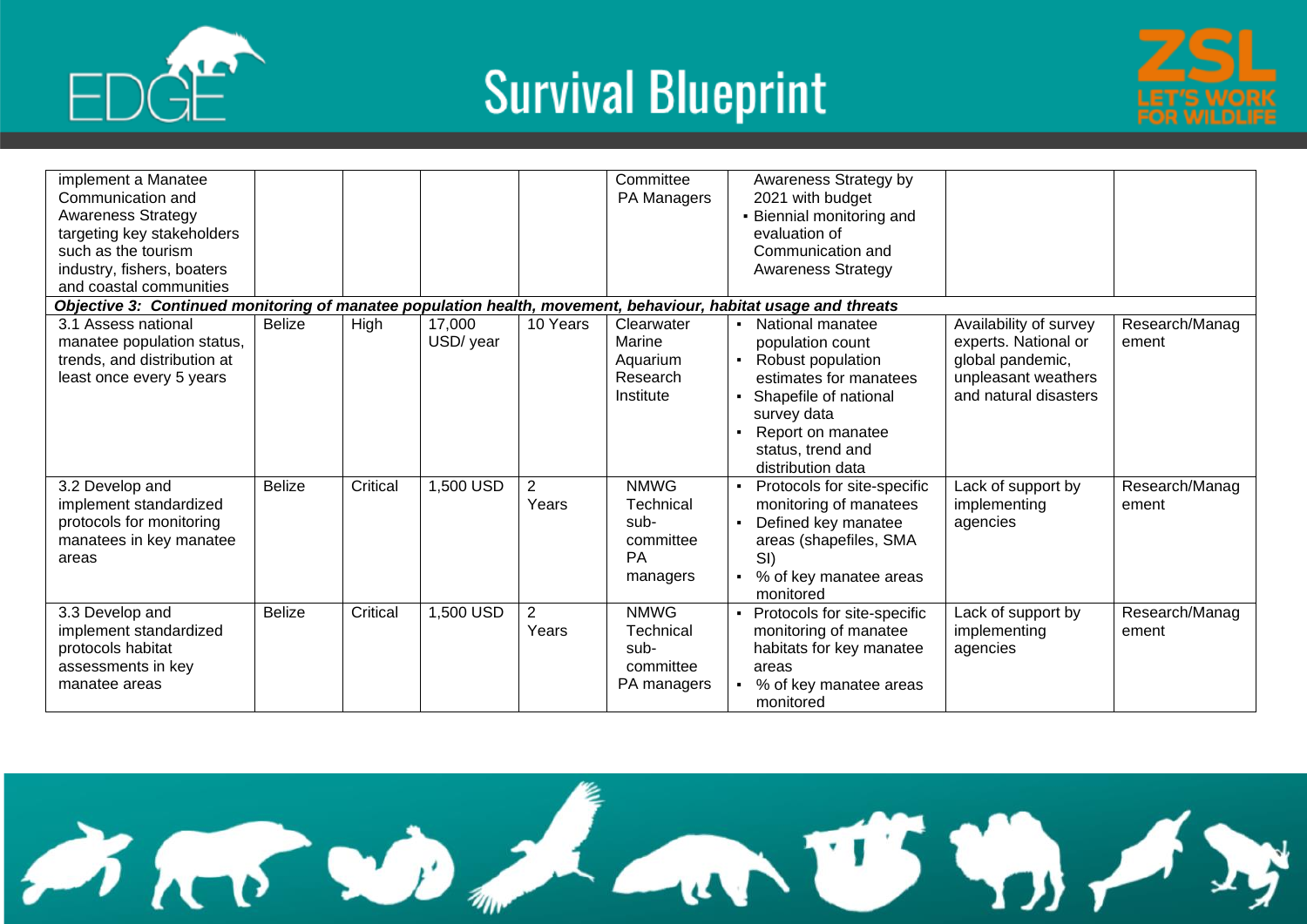





| implement a Manatee                                                                                            |               |          |           |                | Committee   | Awareness Strategy by                         |                        |                |
|----------------------------------------------------------------------------------------------------------------|---------------|----------|-----------|----------------|-------------|-----------------------------------------------|------------------------|----------------|
| Communication and                                                                                              |               |          |           |                | PA Managers | 2021 with budget                              |                        |                |
| <b>Awareness Strategy</b>                                                                                      |               |          |           |                |             | • Biennial monitoring and                     |                        |                |
| targeting key stakeholders                                                                                     |               |          |           |                |             | evaluation of                                 |                        |                |
| such as the tourism                                                                                            |               |          |           |                |             | Communication and                             |                        |                |
| industry, fishers, boaters                                                                                     |               |          |           |                |             | <b>Awareness Strategy</b>                     |                        |                |
| and coastal communities                                                                                        |               |          |           |                |             |                                               |                        |                |
| Objective 3: Continued monitoring of manatee population health, movement, behaviour, habitat usage and threats |               |          |           |                |             |                                               |                        |                |
| 3.1 Assess national                                                                                            | <b>Belize</b> | High     | 17,000    | 10 Years       | Clearwater  | National manatee                              | Availability of survey | Research/Manag |
| manatee population status,                                                                                     |               |          | USD/ year |                | Marine      | population count                              | experts. National or   | ement          |
| trends, and distribution at                                                                                    |               |          |           |                | Aquarium    | Robust population<br>$\blacksquare$           | global pandemic,       |                |
| least once every 5 years                                                                                       |               |          |           |                | Research    | estimates for manatees                        | unpleasant weathers    |                |
|                                                                                                                |               |          |           |                | Institute   | • Shapefile of national                       | and natural disasters  |                |
|                                                                                                                |               |          |           |                |             | survey data                                   |                        |                |
|                                                                                                                |               |          |           |                |             | Report on manatee                             |                        |                |
|                                                                                                                |               |          |           |                |             | status, trend and                             |                        |                |
|                                                                                                                |               |          |           |                |             | distribution data                             |                        |                |
| 3.2 Develop and                                                                                                | <b>Belize</b> | Critical | 1,500 USD | $\overline{2}$ | <b>NMWG</b> | Protocols for site-specific<br>$\blacksquare$ | Lack of support by     | Research/Manag |
| implement standardized                                                                                         |               |          |           | Years          | Technical   | monitoring of manatees                        | implementing           | ement          |
| protocols for monitoring                                                                                       |               |          |           |                | sub-        | Defined key manatee<br>$\blacksquare$         | agencies               |                |
| manatees in key manatee                                                                                        |               |          |           |                | committee   | areas (shapefiles, SMA                        |                        |                |
| areas                                                                                                          |               |          |           |                | <b>PA</b>   | SI)                                           |                        |                |
|                                                                                                                |               |          |           |                | managers    | % of key manatee areas                        |                        |                |
|                                                                                                                |               |          |           |                |             | monitored                                     |                        |                |
| 3.3 Develop and                                                                                                | <b>Belize</b> | Critical | 1,500 USD | $\overline{2}$ | <b>NMWG</b> | • Protocols for site-specific                 | Lack of support by     | Research/Manag |
| implement standardized                                                                                         |               |          |           | Years          | Technical   | monitoring of manatee                         | implementing           | ement          |
| protocols habitat                                                                                              |               |          |           |                | sub-        | habitats for key manatee                      | agencies               |                |
| assessments in key                                                                                             |               |          |           |                | committee   | areas                                         |                        |                |
| manatee areas                                                                                                  |               |          |           |                | PA managers | • % of key manatee areas                      |                        |                |
|                                                                                                                |               |          |           |                |             | monitored                                     |                        |                |

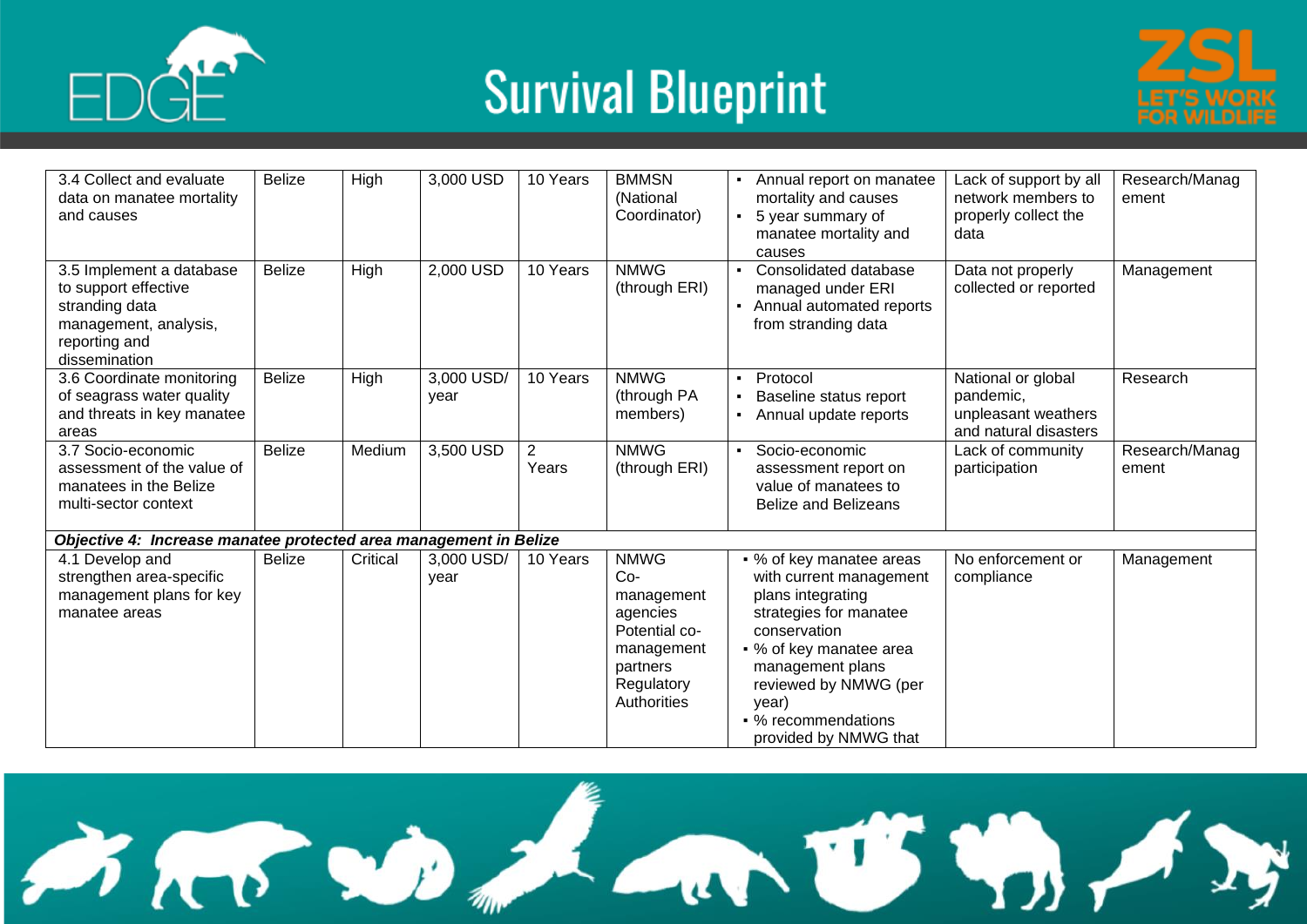



| 3.4 Collect and evaluate<br>data on manatee mortality<br>and causes                                                           | <b>Belize</b> | High        | 3,000 USD          | 10 Years                | <b>BMMSN</b><br>(National<br>Coordinator)                                                                              | Annual report on manatee<br>$\blacksquare$<br>mortality and causes<br>$\blacksquare$<br>5 year summary of<br>manatee mortality and<br>causes                                                                                                        | Lack of support by all<br>network members to<br>properly collect the<br>data    | Research/Manag<br>ement |
|-------------------------------------------------------------------------------------------------------------------------------|---------------|-------------|--------------------|-------------------------|------------------------------------------------------------------------------------------------------------------------|-----------------------------------------------------------------------------------------------------------------------------------------------------------------------------------------------------------------------------------------------------|---------------------------------------------------------------------------------|-------------------------|
| 3.5 Implement a database<br>to support effective<br>stranding data<br>management, analysis,<br>reporting and<br>dissemination | <b>Belize</b> | High        | 2,000 USD          | 10 Years                | <b>NMWG</b><br>(through ERI)                                                                                           | Consolidated database<br>managed under ERI<br>Annual automated reports<br>from stranding data                                                                                                                                                       | Data not properly<br>collected or reported                                      | Management              |
| 3.6 Coordinate monitoring<br>of seagrass water quality<br>and threats in key manatee<br>areas                                 | <b>Belize</b> | <b>High</b> | 3,000 USD/<br>year | 10 Years                | <b>NMWG</b><br>(through PA<br>members)                                                                                 | Protocol<br>$\blacksquare$<br>Baseline status report<br>Annual update reports                                                                                                                                                                       | National or global<br>pandemic,<br>unpleasant weathers<br>and natural disasters | Research                |
| 3.7 Socio-economic<br>assessment of the value of<br>manatees in the Belize<br>multi-sector context                            | <b>Belize</b> | Medium      | 3,500 USD          | $\overline{2}$<br>Years | <b>NMWG</b><br>(through ERI)                                                                                           | Socio-economic<br>$\blacksquare$<br>assessment report on<br>value of manatees to<br><b>Belize and Belizeans</b>                                                                                                                                     | Lack of community<br>participation                                              | Research/Manag<br>ement |
| Objective 4: Increase manatee protected area management in Belize                                                             |               |             |                    |                         |                                                                                                                        |                                                                                                                                                                                                                                                     |                                                                                 |                         |
| 4.1 Develop and<br>strengthen area-specific<br>management plans for key<br>manatee areas                                      | <b>Belize</b> | Critical    | 3,000 USD/<br>year | 10 Years                | <b>NMWG</b><br>$Co-$<br>management<br>agencies<br>Potential co-<br>management<br>partners<br>Regulatory<br>Authorities | • % of key manatee areas<br>with current management<br>plans integrating<br>strategies for manatee<br>conservation<br>• % of key manatee area<br>management plans<br>reviewed by NMWG (per<br>year)<br>• % recommendations<br>provided by NMWG that | No enforcement or<br>compliance                                                 | Management              |

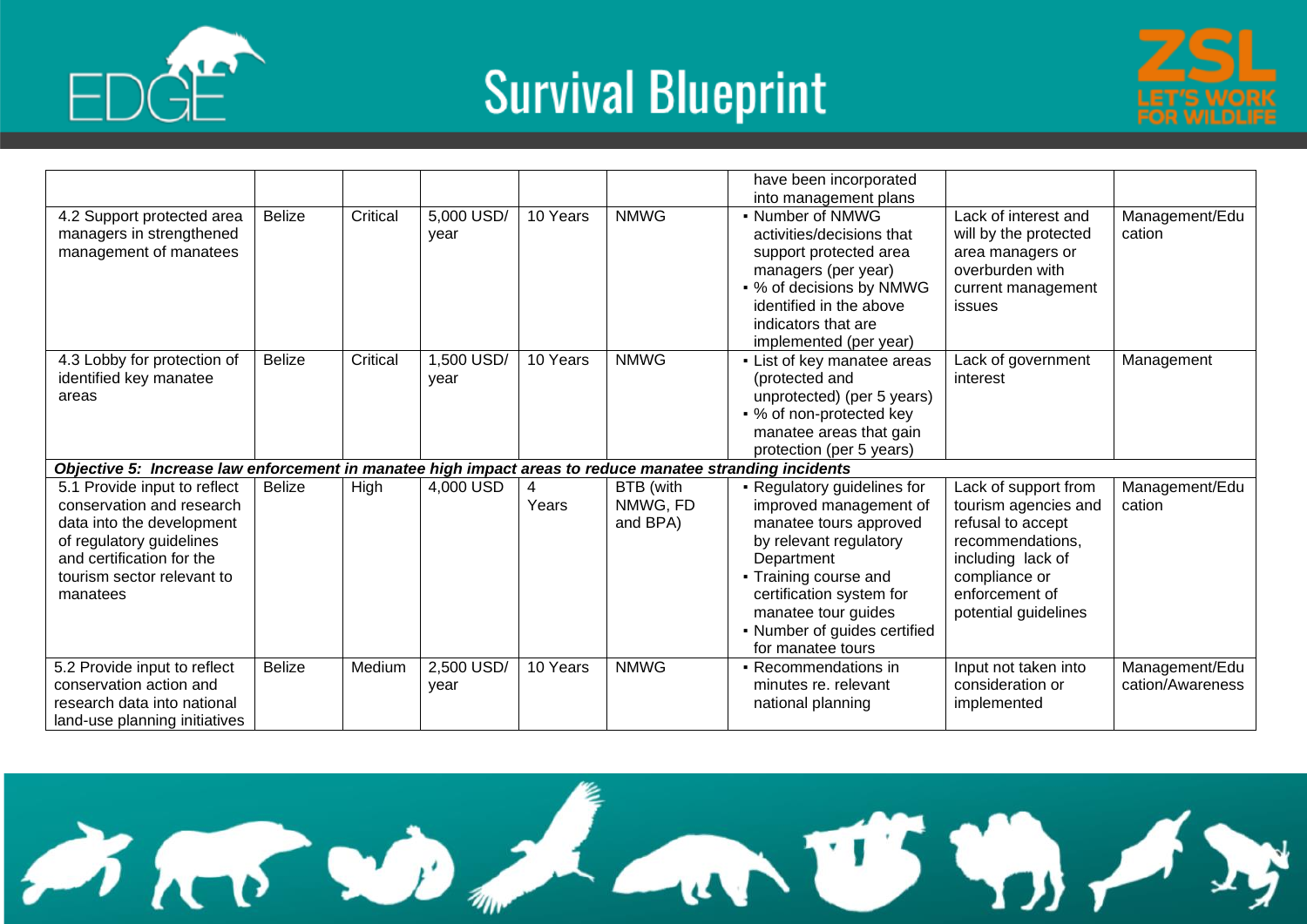





|                                                                                                                                                                                           |               |          |                    |            |                                   | have been incorporated<br>into management plans                                                                                                                                                                                                          |                                                                                                                                                                       |                                    |
|-------------------------------------------------------------------------------------------------------------------------------------------------------------------------------------------|---------------|----------|--------------------|------------|-----------------------------------|----------------------------------------------------------------------------------------------------------------------------------------------------------------------------------------------------------------------------------------------------------|-----------------------------------------------------------------------------------------------------------------------------------------------------------------------|------------------------------------|
| 4.2 Support protected area<br>managers in strengthened<br>management of manatees                                                                                                          | <b>Belize</b> | Critical | 5,000 USD/<br>year | 10 Years   | <b>NMWG</b>                       | - Number of NMWG<br>activities/decisions that<br>support protected area<br>managers (per year)<br>• % of decisions by NMWG<br>identified in the above<br>indicators that are<br>implemented (per year)                                                   | Lack of interest and<br>will by the protected<br>area managers or<br>overburden with<br>current management<br>issues                                                  | Management/Edu<br>cation           |
| 4.3 Lobby for protection of<br>identified key manatee<br>areas                                                                                                                            | <b>Belize</b> | Critical | 1,500 USD/<br>year | 10 Years   | <b>NMWG</b>                       | • List of key manatee areas<br>(protected and<br>unprotected) (per 5 years)<br>• % of non-protected key<br>manatee areas that gain<br>protection (per 5 years)                                                                                           | Lack of government<br>interest                                                                                                                                        | Management                         |
| Objective 5: Increase law enforcement in manatee high impact areas to reduce manatee stranding incidents                                                                                  |               |          |                    |            |                                   |                                                                                                                                                                                                                                                          |                                                                                                                                                                       |                                    |
| 5.1 Provide input to reflect<br>conservation and research<br>data into the development<br>of regulatory guidelines<br>and certification for the<br>tourism sector relevant to<br>manatees | <b>Belize</b> | High     | 4,000 USD          | 4<br>Years | BTB (with<br>NMWG, FD<br>and BPA) | • Regulatory guidelines for<br>improved management of<br>manatee tours approved<br>by relevant regulatory<br>Department<br>• Training course and<br>certification system for<br>manatee tour guides<br>• Number of guides certified<br>for manatee tours | Lack of support from<br>tourism agencies and<br>refusal to accept<br>recommendations,<br>including lack of<br>compliance or<br>enforcement of<br>potential guidelines | Management/Edu<br>cation           |
| 5.2 Provide input to reflect<br>conservation action and<br>research data into national<br>land-use planning initiatives                                                                   | <b>Belize</b> | Medium   | 2,500 USD/<br>year | 10 Years   | <b>NMWG</b>                       | • Recommendations in<br>minutes re. relevant<br>national planning                                                                                                                                                                                        | Input not taken into<br>consideration or<br>implemented                                                                                                               | Management/Edu<br>cation/Awareness |

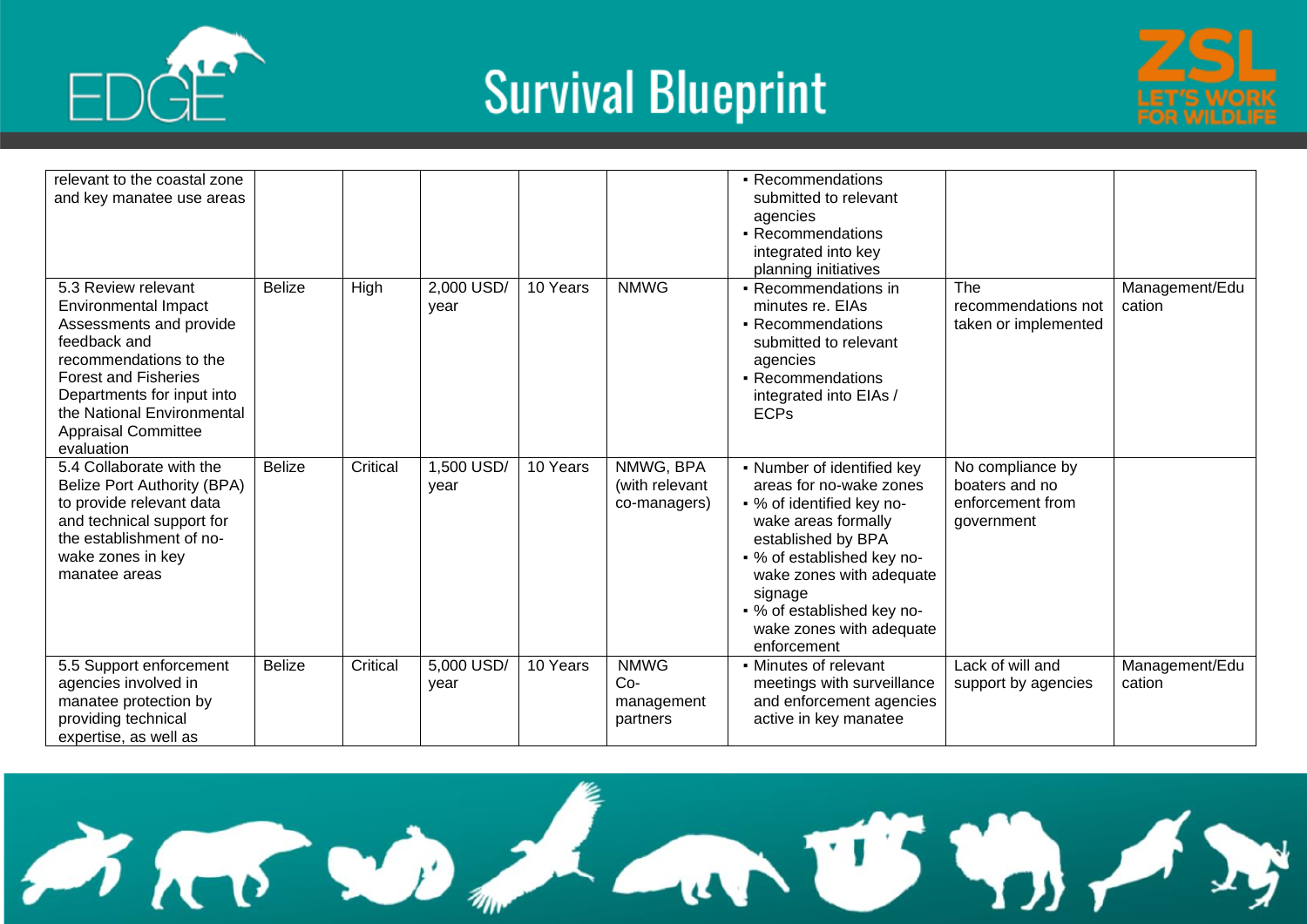



| relevant to the coastal zone<br>and key manatee use areas                                                                                                                                                                                                      |               |          |                    |          |                                                | - Recommendations<br>submitted to relevant<br>agencies<br>• Recommendations<br>integrated into key<br>planning initiatives                                                                                                                                                    |                                                                      |                          |
|----------------------------------------------------------------------------------------------------------------------------------------------------------------------------------------------------------------------------------------------------------------|---------------|----------|--------------------|----------|------------------------------------------------|-------------------------------------------------------------------------------------------------------------------------------------------------------------------------------------------------------------------------------------------------------------------------------|----------------------------------------------------------------------|--------------------------|
| 5.3 Review relevant<br><b>Environmental Impact</b><br>Assessments and provide<br>feedback and<br>recommendations to the<br><b>Forest and Fisheries</b><br>Departments for input into<br>the National Environmental<br><b>Appraisal Committee</b><br>evaluation | <b>Belize</b> | High     | 2,000 USD/<br>year | 10 Years | <b>NMWG</b>                                    | • Recommendations in<br>minutes re. EIAs<br>• Recommendations<br>submitted to relevant<br>agencies<br>• Recommendations<br>integrated into EIAs /<br><b>ECPs</b>                                                                                                              | The<br>recommendations not<br>taken or implemented                   | Management/Edu<br>cation |
| 5.4 Collaborate with the<br>Belize Port Authority (BPA)<br>to provide relevant data<br>and technical support for<br>the establishment of no-<br>wake zones in key<br>manatee areas                                                                             | <b>Belize</b> | Critical | 1,500 USD/<br>year | 10 Years | NMWG, BPA<br>(with relevant<br>co-managers)    | • Number of identified key<br>areas for no-wake zones<br>• % of identified key no-<br>wake areas formally<br>established by BPA<br>• % of established key no-<br>wake zones with adequate<br>signage<br>• % of established key no-<br>wake zones with adequate<br>enforcement | No compliance by<br>boaters and no<br>enforcement from<br>government |                          |
| 5.5 Support enforcement<br>agencies involved in<br>manatee protection by<br>providing technical<br>expertise, as well as                                                                                                                                       | <b>Belize</b> | Critical | 5,000 USD/<br>year | 10 Years | <b>NMWG</b><br>$Co-$<br>management<br>partners | • Minutes of relevant<br>meetings with surveillance<br>and enforcement agencies<br>active in key manatee                                                                                                                                                                      | Lack of will and<br>support by agencies                              | Management/Edu<br>cation |

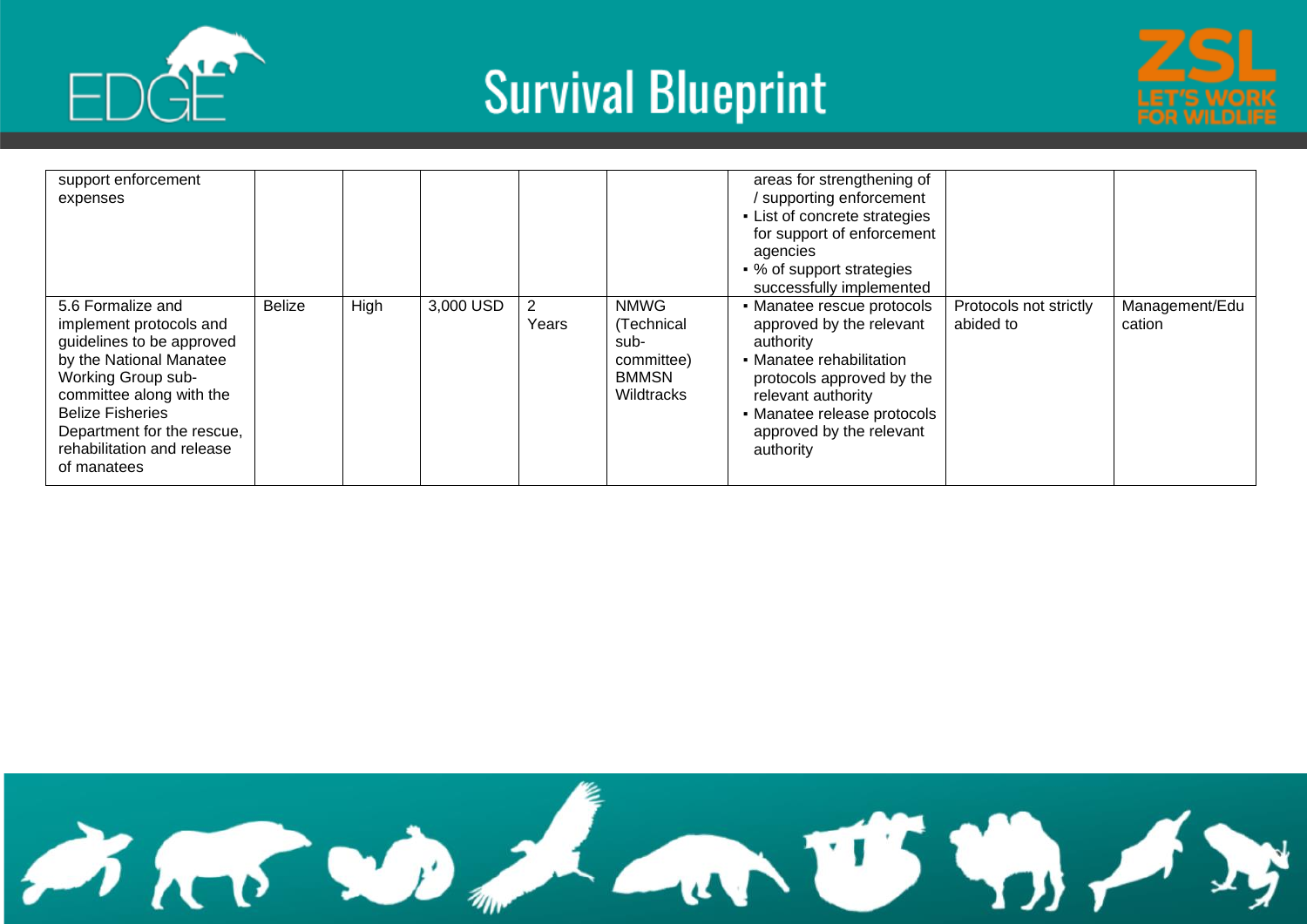





| support enforcement<br>expenses                                                                                                                                                                                                                              |               |      |           |       |                                                                        | areas for strengthening of<br>/ supporting enforcement<br>• List of concrete strategies<br>for support of enforcement<br>agencies<br>• % of support strategies<br>successfully implemented                                 |                                     |                          |
|--------------------------------------------------------------------------------------------------------------------------------------------------------------------------------------------------------------------------------------------------------------|---------------|------|-----------|-------|------------------------------------------------------------------------|----------------------------------------------------------------------------------------------------------------------------------------------------------------------------------------------------------------------------|-------------------------------------|--------------------------|
| 5.6 Formalize and<br>implement protocols and<br>guidelines to be approved<br>by the National Manatee<br>Working Group sub-<br>committee along with the<br><b>Belize Fisheries</b><br>Department for the rescue,<br>rehabilitation and release<br>of manatees | <b>Belize</b> | High | 3,000 USD | Years | <b>NMWG</b><br>(Technical<br>sub-<br>committee)<br>BMMSN<br>Wildtracks | • Manatee rescue protocols<br>approved by the relevant<br>authority<br>• Manatee rehabilitation<br>protocols approved by the<br>relevant authority<br>• Manatee release protocols<br>approved by the relevant<br>authority | Protocols not strictly<br>abided to | Management/Edu<br>cation |

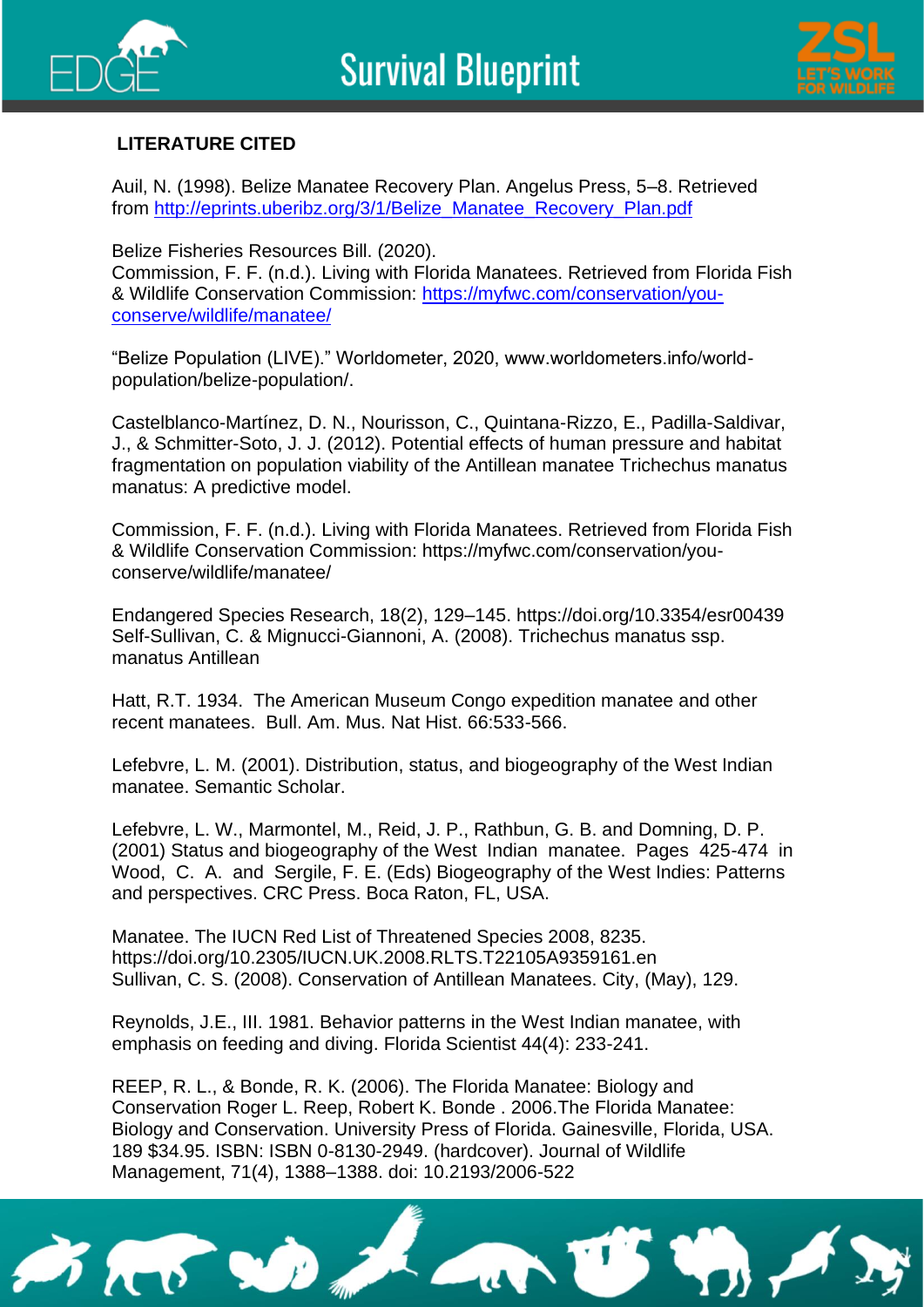



#### **LITERATURE CITED**

Auil, N. (1998). Belize Manatee Recovery Plan. Angelus Press, 5–8. Retrieved from [http://eprints.uberibz.org/3/1/Belize\\_Manatee\\_Recovery\\_Plan.pdf](http://eprints.uberibz.org/3/1/Belize_Manatee_Recovery_Plan.pdf)

Belize Fisheries Resources Bill. (2020).

Commission, F. F. (n.d.). Living with Florida Manatees. Retrieved from Florida Fish & Wildlife Conservation Commission: [https://myfwc.com/conservation/you](https://myfwc.com/conservation/you-conserve/wildlife/manatee/)[conserve/wildlife/manatee/](https://myfwc.com/conservation/you-conserve/wildlife/manatee/)

"Belize Population (LIVE)." Worldometer, 2020, www.worldometers.info/worldpopulation/belize-population/.

Castelblanco-Martínez, D. N., Nourisson, C., Quintana-Rizzo, E., Padilla-Saldivar, J., & Schmitter-Soto, J. J. (2012). Potential effects of human pressure and habitat fragmentation on population viability of the Antillean manatee Trichechus manatus manatus: A predictive model.

Commission, F. F. (n.d.). Living with Florida Manatees. Retrieved from Florida Fish & Wildlife Conservation Commission: https://myfwc.com/conservation/youconserve/wildlife/manatee/

Endangered Species Research, 18(2), 129–145. https://doi.org/10.3354/esr00439 Self-Sullivan, C. & Mignucci-Giannoni, A. (2008). Trichechus manatus ssp. manatus Antillean

Hatt, R.T. 1934. The American Museum Congo expedition manatee and other recent manatees. Bull. Am. Mus. Nat Hist. 66:533-566.

Lefebvre, L. M. (2001). Distribution, status, and biogeography of the West Indian manatee. Semantic Scholar.

Lefebvre, L. W., Marmontel, M., Reid, J. P., Rathbun, G. B. and Domning, D. P. (2001) Status and biogeography of the West Indian manatee. Pages 425-474 in Wood, C. A. and Sergile, F. E. (Eds) Biogeography of the West Indies: Patterns and perspectives. CRC Press. Boca Raton, FL, USA.

Manatee. The IUCN Red List of Threatened Species 2008, 8235. https://doi.org/10.2305/IUCN.UK.2008.RLTS.T22105A9359161.en Sullivan, C. S. (2008). Conservation of Antillean Manatees. City, (May), 129.

Reynolds, J.E., III. 1981. Behavior patterns in the West Indian manatee, with emphasis on feeding and diving. Florida Scientist 44(4): 233-241.

REEP, R. L., & Bonde, R. K. (2006). The Florida Manatee: Biology and Conservation Roger L. Reep, Robert K. Bonde . 2006.The Florida Manatee: Biology and Conservation. University Press of Florida. Gainesville, Florida, USA. 189 \$34.95. ISBN: ISBN 0-8130-2949. (hardcover). Journal of Wildlife Management, 71(4), 1388–1388. doi: 10.2193/2006-522